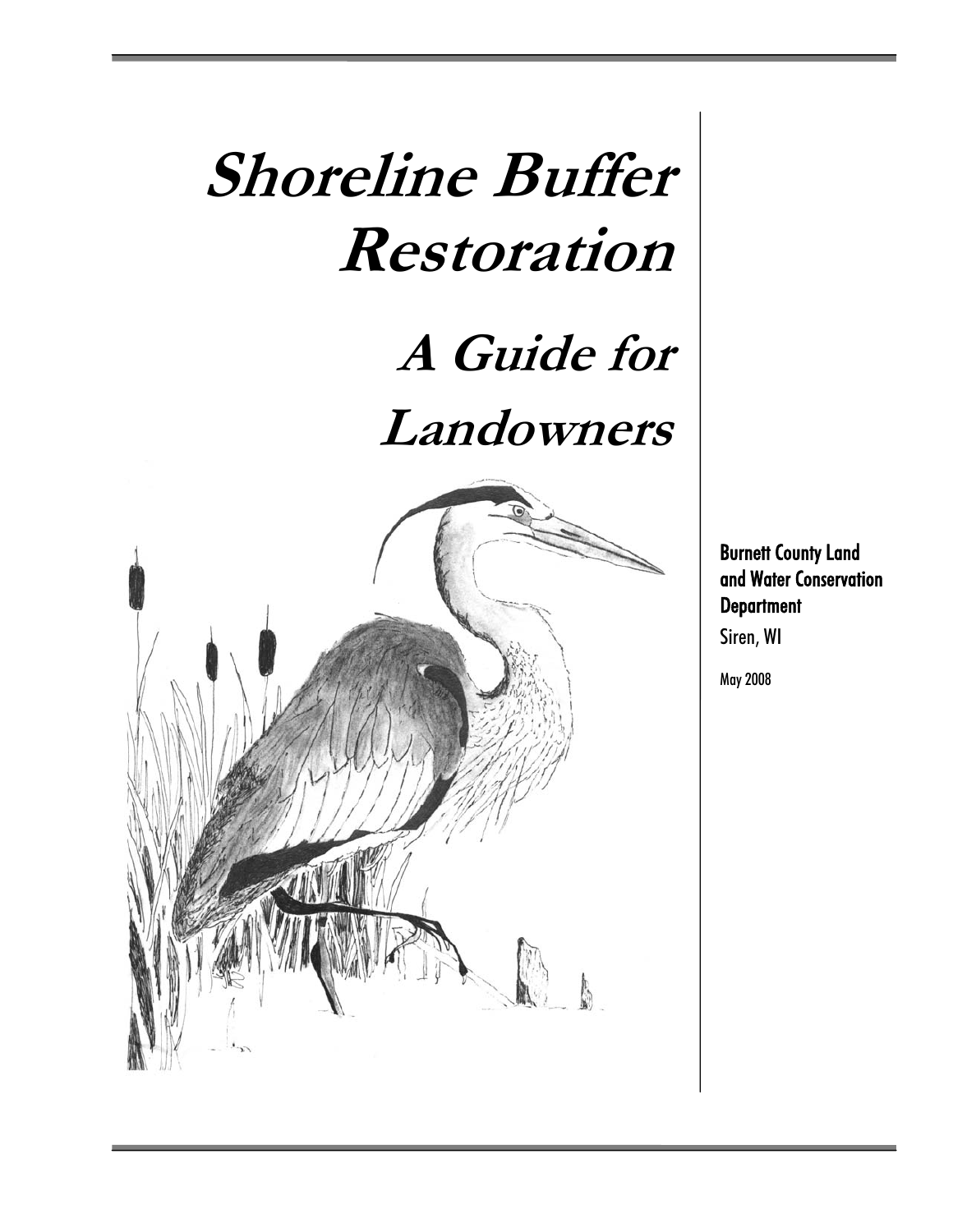# **Shoreline Buffer Restoration**

# **A Guide for Landowners**



Burnett County Land and Water Conservation **Department** Siren, WI

May 2008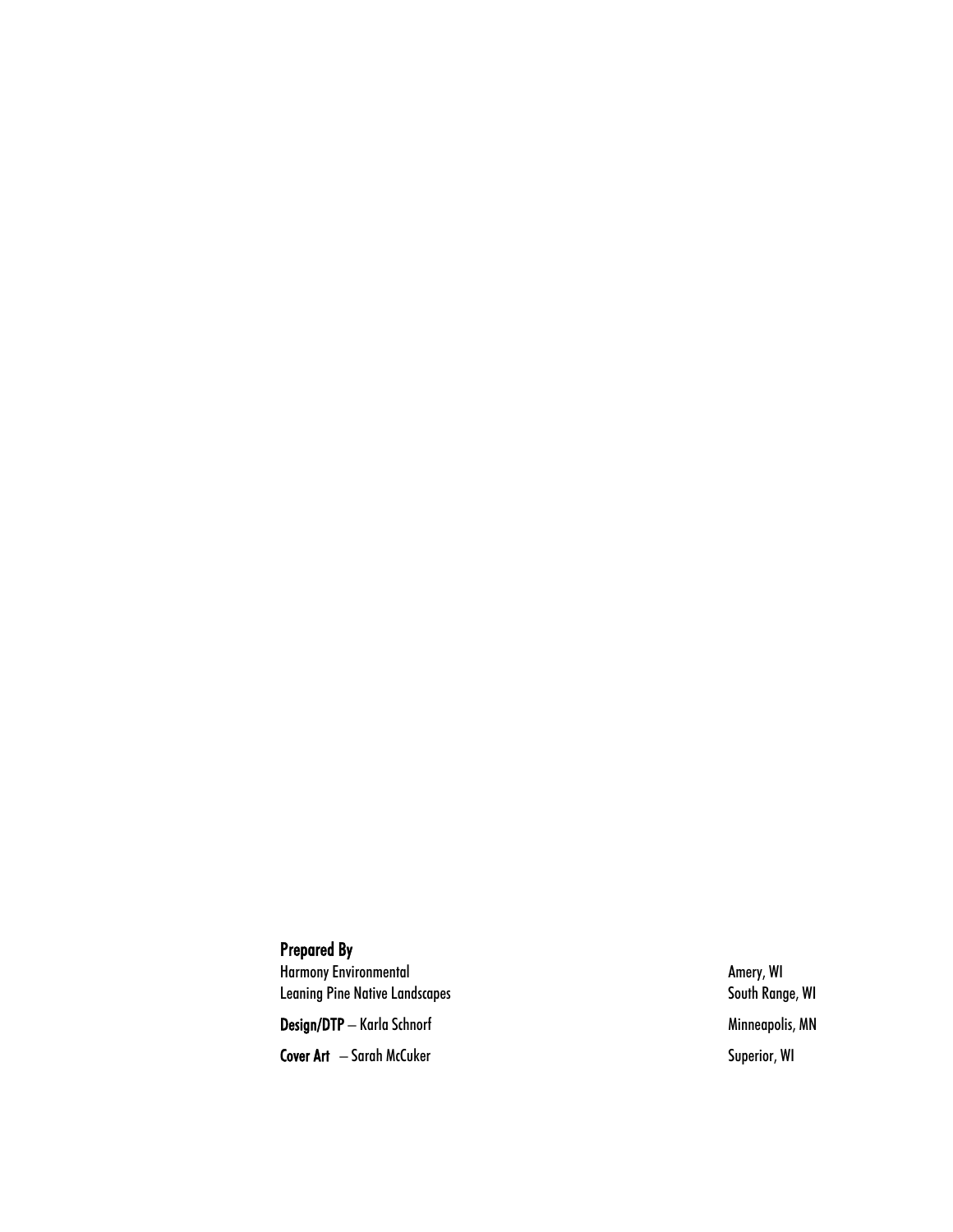#### Prepared By

Harmony Environmental **Amery, WI** Leaning Pine Native Landscapes South Range, WI

Design/DTP – Karla Schnorf Minneapolis, MN

Cover Art – Sarah McCuker Superior, WI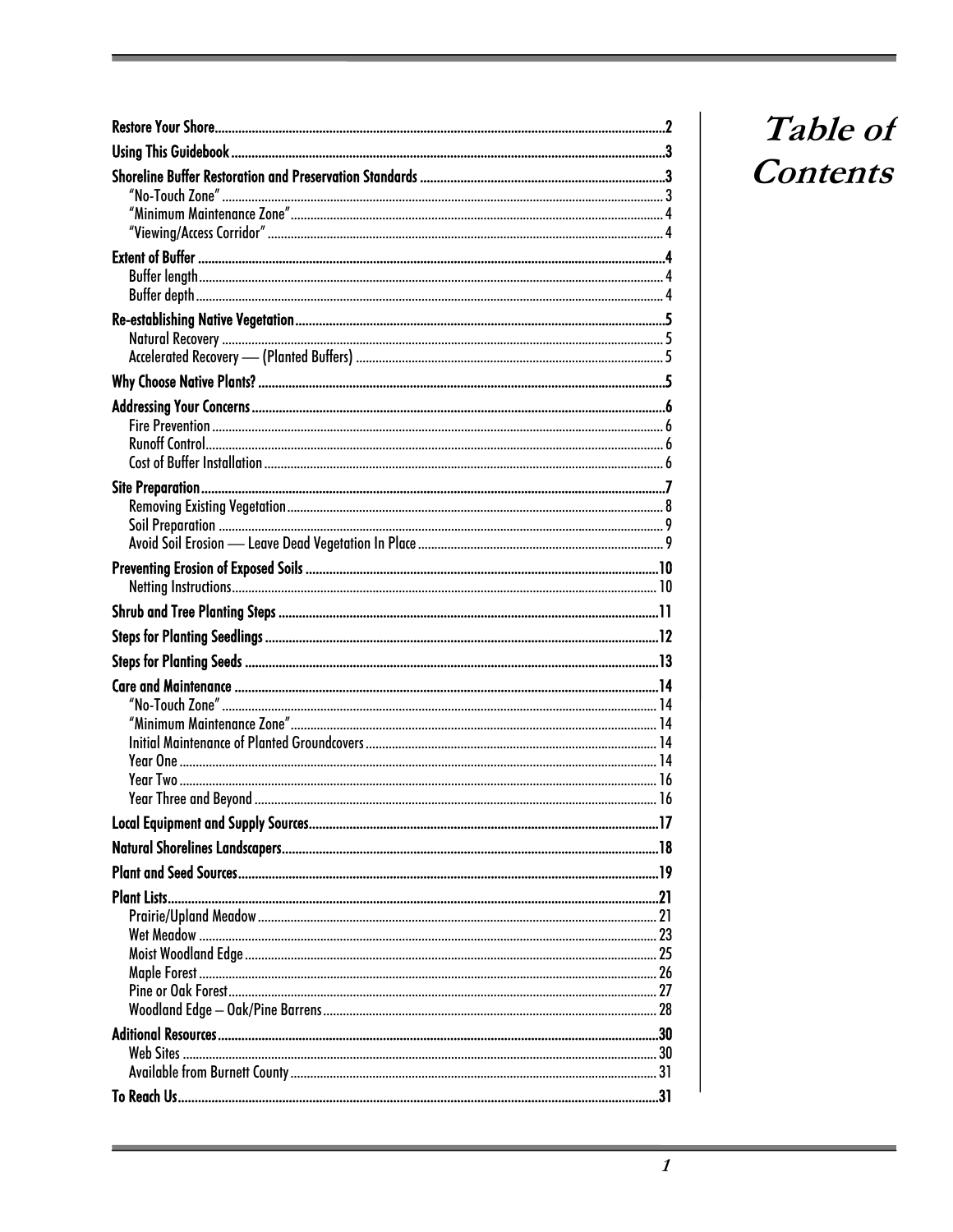## Table of Contents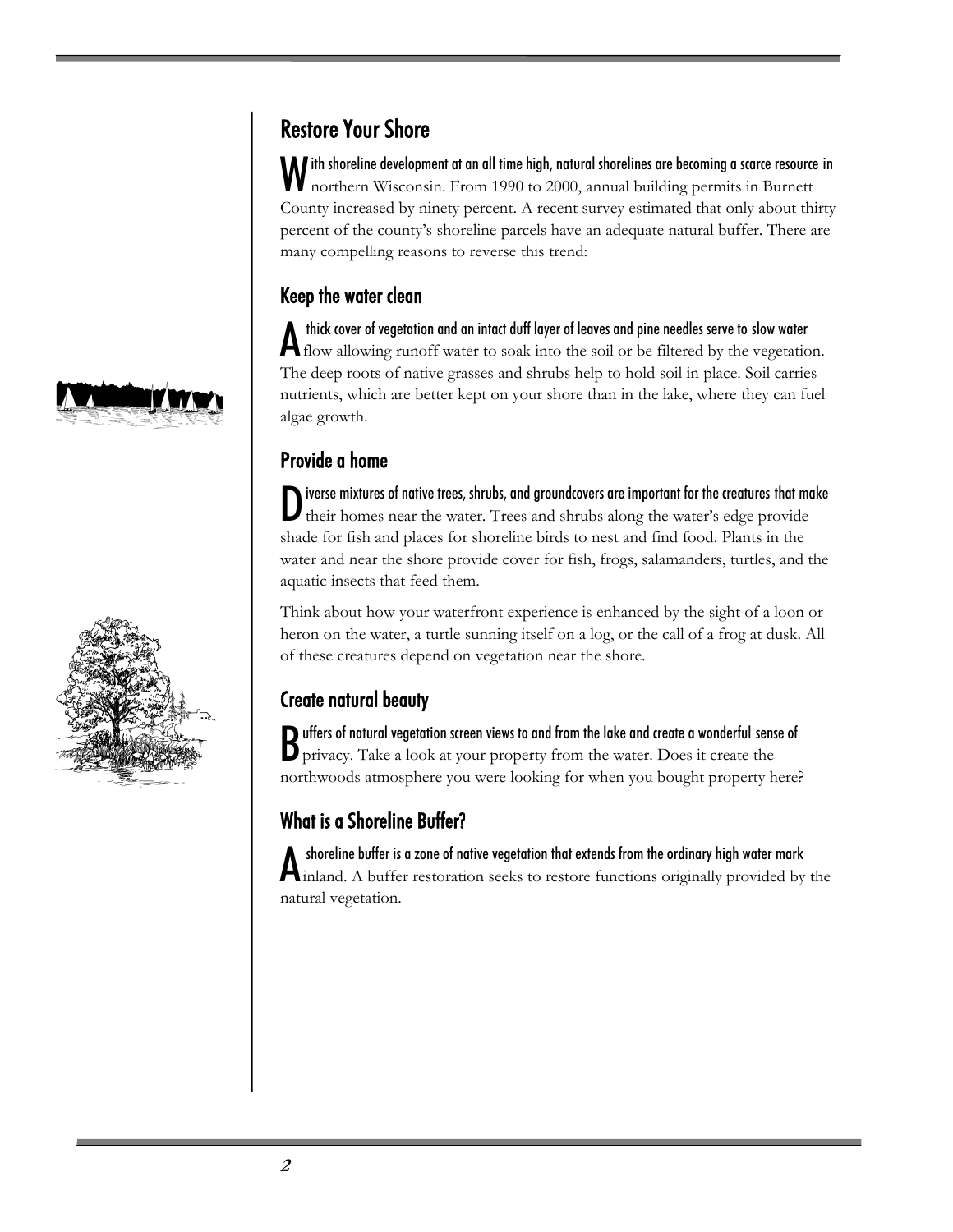



## Restore Your Shore

ith shoreline development at an all time high, natural shorelines are becoming a scarce resource in With shoreline development at an all time high, natural shorelines are becoming a scarce resource<br>morthern Wisconsin. From 1990 to 2000, annual building permits in Burnett County increased by ninety percent. A recent survey estimated that only about thirty percent of the county's shoreline parcels have an adequate natural buffer. There are many compelling reasons to reverse this trend:

#### Keep the water clean

 thick cover of vegetation and an intact duff layer of leaves and pine needles serve to slow water A thick cover of vegetation and an intact duff layer of leaves and pine needles serve to slow water<br>A flow allowing runoff water to soak into the soil or be filtered by the vegetation. The deep roots of native grasses and shrubs help to hold soil in place. Soil carries nutrients, which are better kept on your shore than in the lake, where they can fuel algae growth.

#### Provide a home

iverse mixtures of native trees, shrubs, and groundcovers are important for the creatures that make Diverse mixtures of native trees, shrubs, and groundcovers are important for the creatures that mot<br>their homes near the water. Trees and shrubs along the water's edge provide shade for fish and places for shoreline birds to nest and find food. Plants in the water and near the shore provide cover for fish, frogs, salamanders, turtles, and the aquatic insects that feed them.

Think about how your waterfront experience is enhanced by the sight of a loon or heron on the water, a turtle sunning itself on a log, or the call of a frog at dusk. All of these creatures depend on vegetation near the shore.

### Create natural beauty

Buffers of natural vegetation screen views to and from the lake and create a wonderful sense of privacy. Take a look at your property from the water. Does it create the privacy. Take a look at your property from the water. Does it create the northwoods atmosphere you were looking for when you bought property here?

## What is a Shoreline Buffer?

 shoreline buffer is a zone of native vegetation that extends from the ordinary high water mark A shoreline buffer is a zone of native vegetation that extends from the ordinary high water mark<br>
A inland. A buffer restoration seeks to restore functions originally provided by the natural vegetation.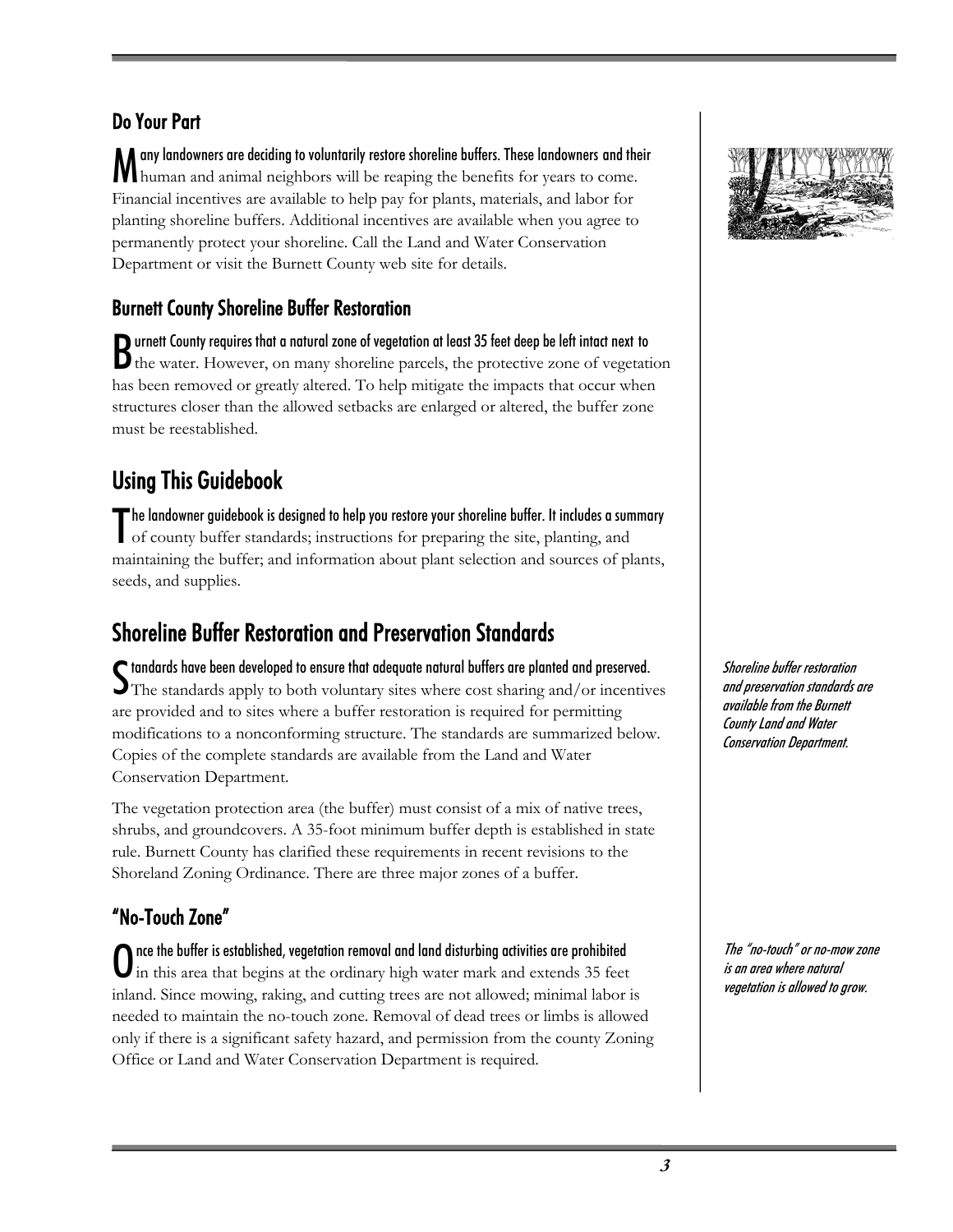#### Do Your Part

any landowners are deciding to voluntarily restore shoreline buffers. These landowners and their M any landowners are deciding to voluntarily restore shoreline buffers. These landowners and the human and animal neighbors will be reaping the benefits for years to come. Financial incentives are available to help pay for plants, materials, and labor for planting shoreline buffers. Additional incentives are available when you agree to permanently protect your shoreline. Call the Land and Water Conservation Department or visit the Burnett County web site for details.

#### Burnett County Shoreline Buffer Restoration

**D** urnett County requires that a natural zone of vegetation at least 35 feet deep be left intact next to Burnett County requires that a natural zone of vegetation at least 35 feet deep be left intact next to the water. However, on many shoreline parcels, the protective zone of vegetation has been removed or greatly altered. To help mitigate the impacts that occur when structures closer than the allowed setbacks are enlarged or altered, the buffer zone must be reestablished.

## Using This Guidebook

he landowner guidebook is designed to help you restore your shoreline buffer. It includes a summary The landowner guidebook is designed to help you restore your shoreline buffer. It includes a sum<br>of county buffer standards; instructions for preparing the site, planting, and maintaining the buffer; and information about plant selection and sources of plants, seeds, and supplies.

## Shoreline Buffer Restoration and Preservation Standards

 $\boldsymbol{\mathsf{S}}$  tandards have been developed to ensure that adequate natural buffers are planted and preserved.<br> $\boldsymbol{\mathsf{S}}$  The standards apply to both voluntary sites where cost sharing and/or incentive The standards apply to both voluntary sites where cost sharing and/or incentives are provided and to sites where a buffer restoration is required for permitting modifications to a nonconforming structure. The standards are summarized below. Copies of the complete standards are available from the Land and Water Conservation Department.

The vegetation protection area (the buffer) must consist of a mix of native trees, shrubs, and groundcovers. A 35-foot minimum buffer depth is established in state rule. Burnett County has clarified these requirements in recent revisions to the Shoreland Zoning Ordinance. There are three major zones of a buffer.

### "No-Touch Zone"

nce the buffer is established, vegetation removal and land disturbing activities are prohibited  $\bf{O}$  nce the buffer is established, vegetation removal and land disturbing activities are prohibited in this area that begins at the ordinary high water mark and extends 35 feet inland. Since mowing, raking, and cutting trees are not allowed; minimal labor is needed to maintain the no-touch zone. Removal of dead trees or limbs is allowed only if there is a significant safety hazard, and permission from the county Zoning Office or Land and Water Conservation Department is required.



Shoreline buffer restoration and preservation standards are available from the Burnett County Land and Water Conservation Department.

The "no-touch" or no-mow zone is an area where natural vegetation is allowed to grow.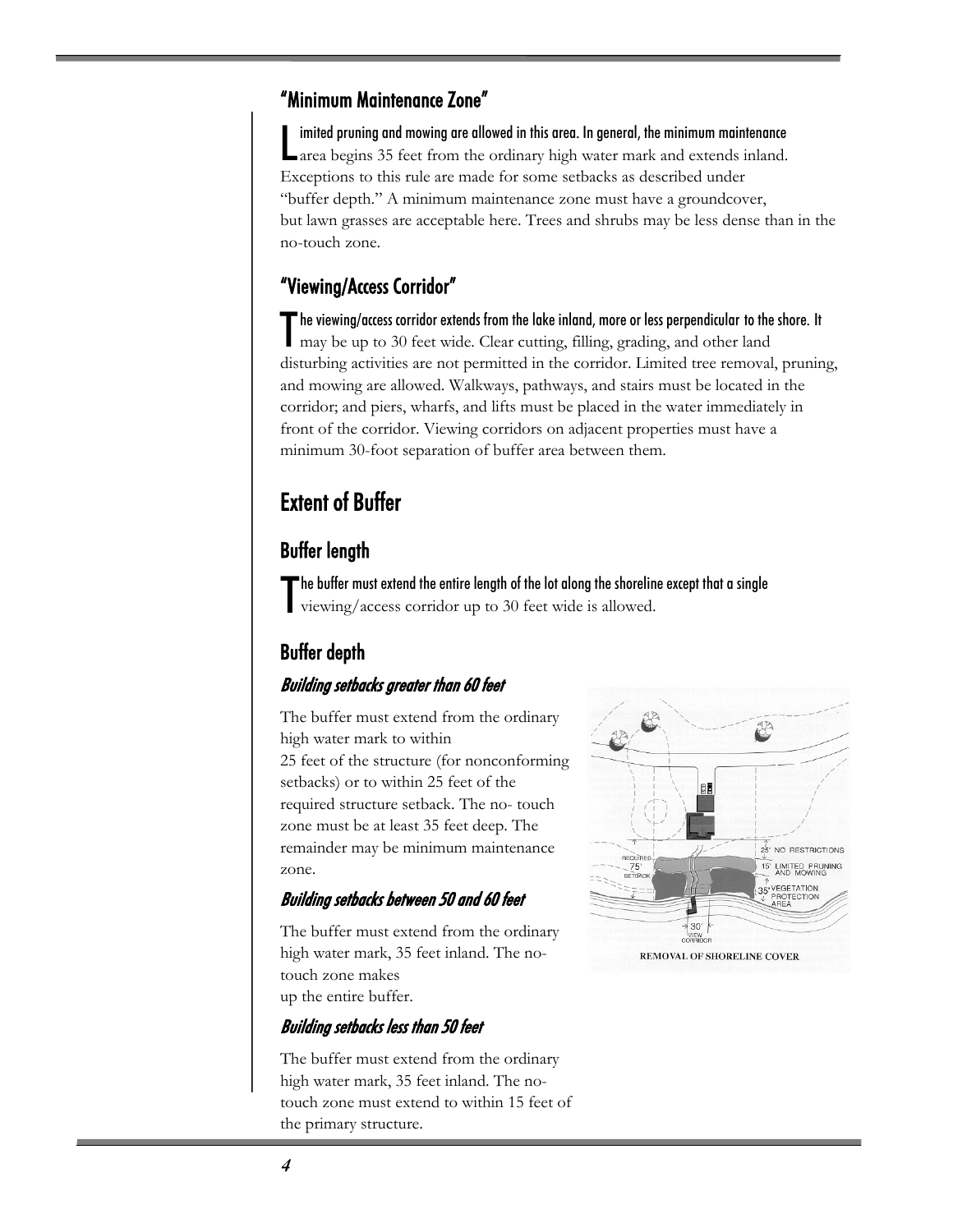#### "Minimum Maintenance Zone"

imited pruning and mowing are allowed in this area. In general, the minimum maintenance Imited pruning and mowing are allowed in this area. In general, the minimum maintenance area begins 35 feet from the ordinary high water mark and extends inland. Exceptions to this rule are made for some setbacks as described under "buffer depth." A minimum maintenance zone must have a groundcover, but lawn grasses are acceptable here. Trees and shrubs may be less dense than in the no-touch zone.

#### "Viewing/Access Corridor"

 $\blacksquare$  he viewing/access corridor extends from the lake inland, more or less perpendicular to the shore. It The viewing/access corridor extends from the lake inland, more or less perpendicular to the may be up to 30 feet wide. Clear cutting, filling, grading, and other land disturbing activities are not permitted in the corridor. Limited tree removal, pruning, and mowing are allowed. Walkways, pathways, and stairs must be located in the corridor; and piers, wharfs, and lifts must be placed in the water immediately in front of the corridor. Viewing corridors on adjacent properties must have a minimum 30-foot separation of buffer area between them.

## Extent of Buffer

#### Buffer length

The buffer must extend the entire length of the lot along the shoreline except that a single viewing/access corridor up to 30 feet wide is allowed. viewing/access corridor up to 30 feet wide is allowed.

#### Buffer depth

#### Building setbacks greater than 60 feet

The buffer must extend from the ordinary high water mark to within 25 feet of the structure (for nonconforming setbacks) or to within 25 feet of the required structure setback. The no- touch zone must be at least 35 feet deep. The remainder may be minimum maintenance zone.

#### Building setbacks between 50 and 60 feet

The buffer must extend from the ordinary high water mark, 35 feet inland. The notouch zone makes up the entire buffer.



The buffer must extend from the ordinary high water mark, 35 feet inland. The notouch zone must extend to within 15 feet of the primary structure.

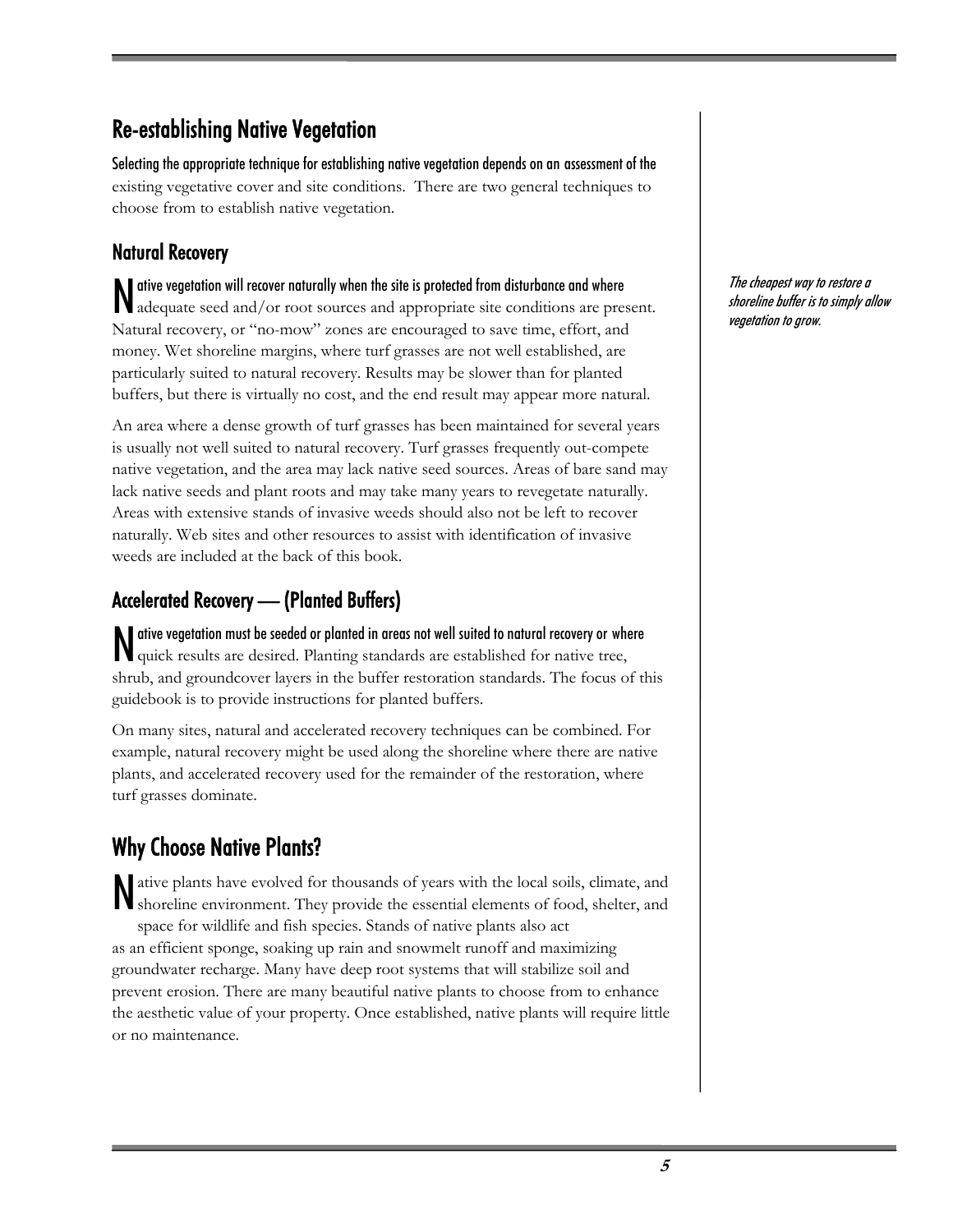## Re-establishing Native Vegetation

Selecting the appropriate technique for establishing native vegetation depends on an assessment of the existing vegetative cover and site conditions. There are two general techniques to choose from to establish native vegetation.

#### Natural Recovery

ative vegetation will recover naturally when the site is protected from disturbance and where N ative vegetation will recover naturally when the site is protected from disturbance and where<br>adequate seed and/or root sources and appropriate site conditions are present. Natural recovery, or "no-mow" zones are encouraged to save time, effort, and money. Wet shoreline margins, where turf grasses are not well established, are particularly suited to natural recovery. Results may be slower than for planted buffers, but there is virtually no cost, and the end result may appear more natural.

An area where a dense growth of turf grasses has been maintained for several years is usually not well suited to natural recovery. Turf grasses frequently out-compete native vegetation, and the area may lack native seed sources. Areas of bare sand may lack native seeds and plant roots and may take many years to revegetate naturally. Areas with extensive stands of invasive weeds should also not be left to recover naturally. Web sites and other resources to assist with identification of invasive weeds are included at the back of this book.

### Accelerated Recovery — (Planted Buffers)

ative vegetation must be seeded or planted in areas not well suited to natural recovery or where N ative vegetation must be seeded or planted in areas not well suited to natural recovery or whe<br>Quick results are desired. Planting standards are established for native tree, shrub, and groundcover layers in the buffer restoration standards. The focus of this guidebook is to provide instructions for planted buffers.

On many sites, natural and accelerated recovery techniques can be combined. For example, natural recovery might be used along the shoreline where there are native plants, and accelerated recovery used for the remainder of the restoration, where turf grasses dominate.

## Why Choose Native Plants?

ative plants have evolved for thousands of years with the local soils, climate, and N shoreline environment. They provide the essential elements of food, shelter, and space for wildlife and fish species. Stands of native plants also act as an efficient sponge, soaking up rain and snowmelt runoff and maximizing groundwater recharge. Many have deep root systems that will stabilize soil and prevent erosion. There are many beautiful native plants to choose from to enhance the aesthetic value of your property. Once established, native plants will require little or no maintenance.

The cheapest way to restore a shoreline buffer is to simply allow vegetation to grow.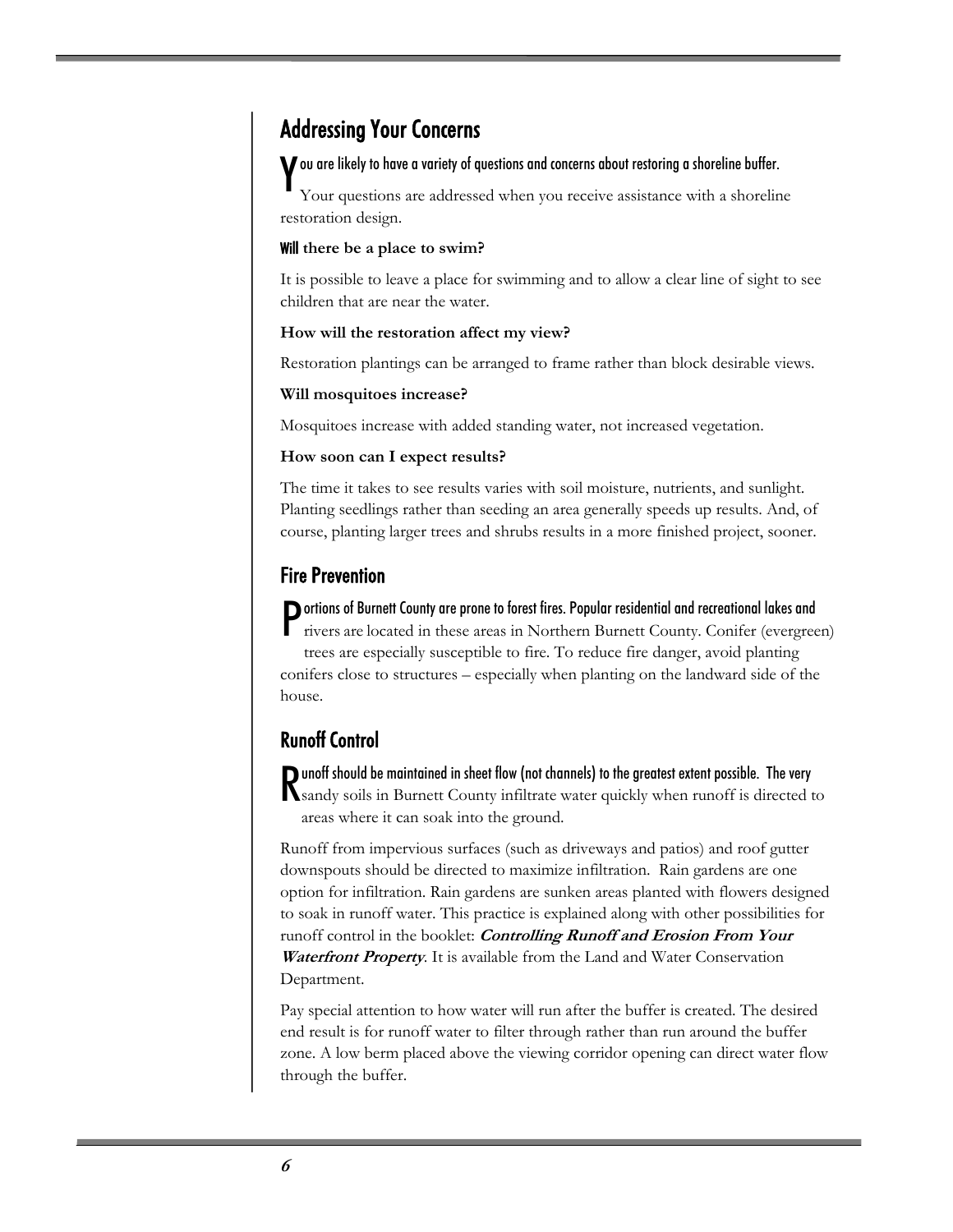## Addressing Your Concerns

## $\boldsymbol{Y}$ ou are likely to have a variety of questions and concerns about restoring a shoreline buffer.<br>Your questions are addressed when you receive assistance with a shorelin

Your questions are addressed when you receive assistance with a shoreline restoration design.

#### Will **there be a place to swim?**

It is possible to leave a place for swimming and to allow a clear line of sight to see children that are near the water.

#### **How will the restoration affect my view?**

Restoration plantings can be arranged to frame rather than block desirable views.

#### **Will mosquitoes increase?**

Mosquitoes increase with added standing water, not increased vegetation.

#### **How soon can I expect results?**

The time it takes to see results varies with soil moisture, nutrients, and sunlight. Planting seedlings rather than seeding an area generally speeds up results. And, of course, planting larger trees and shrubs results in a more finished project, sooner.

#### Fire Prevention

#### ortions of Burnett County are prone to forest fires. Popular residential and recreational lakes and

Portions of Burnett County are prone to forest fires. Popular residential and recreational lakes and<br>rivers are located in these areas in Northern Burnett County. Conifer (evergreen) trees are especially susceptible to fire. To reduce fire danger, avoid planting conifers close to structures – especially when planting on the landward side of the house.

#### Runoff Control

**D** unoff should be maintained in sheet flow (not channels) to the greatest extent possible. The very Punoff should be maintained in sheet flow (not channels) to the greatest extent possible. The very<br>Sandy soils in Burnett County infiltrate water quickly when runoff is directed to areas where it can soak into the ground.

Runoff from impervious surfaces (such as driveways and patios) and roof gutter downspouts should be directed to maximize infiltration. Rain gardens are one option for infiltration. Rain gardens are sunken areas planted with flowers designed to soak in runoff water. This practice is explained along with other possibilities for runoff control in the booklet: **Controlling Runoff and Erosion From Your Waterfront Property**. It is available from the Land and Water Conservation Department.

Pay special attention to how water will run after the buffer is created. The desired end result is for runoff water to filter through rather than run around the buffer zone. A low berm placed above the viewing corridor opening can direct water flow through the buffer.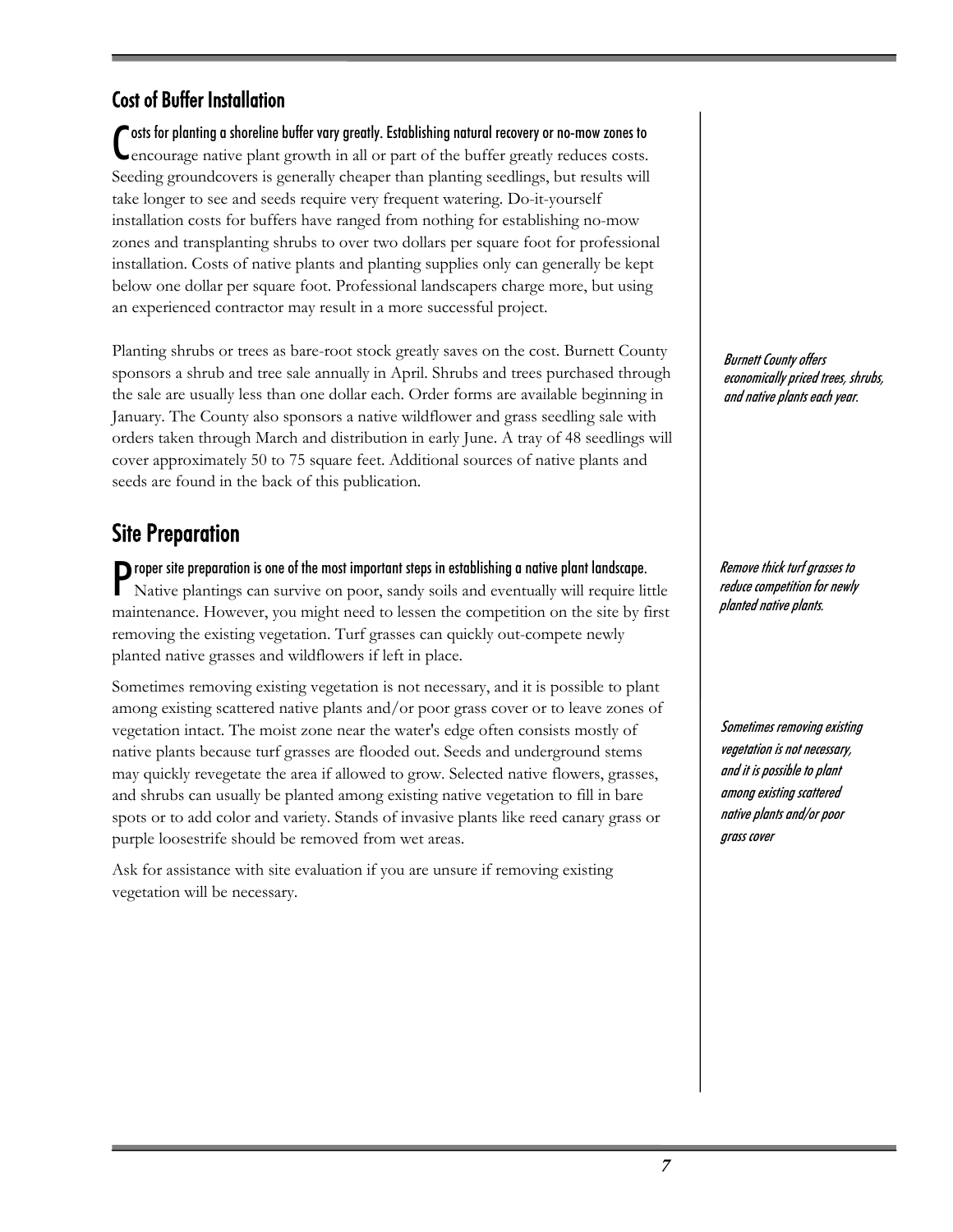#### Cost of Buffer Installation

osts for planting a shoreline buffer vary greatly. Establishing natural recovery or no-mow zones to Costs for planting a shoreline buffer vary greatly. Establishing natural recovery or no-mow zones to encourage native plant growth in all or part of the buffer greatly reduces costs. Seeding groundcovers is generally cheaper than planting seedlings, but results will take longer to see and seeds require very frequent watering. Do-it-yourself installation costs for buffers have ranged from nothing for establishing no-mow zones and transplanting shrubs to over two dollars per square foot for professional installation. Costs of native plants and planting supplies only can generally be kept below one dollar per square foot. Professional landscapers charge more, but using an experienced contractor may result in a more successful project.

Planting shrubs or trees as bare-root stock greatly saves on the cost. Burnett County sponsors a shrub and tree sale annually in April. Shrubs and trees purchased through the sale are usually less than one dollar each. Order forms are available beginning in January. The County also sponsors a native wildflower and grass seedling sale with orders taken through March and distribution in early June. A tray of 48 seedlings will cover approximately 50 to 75 square feet. Additional sources of native plants and seeds are found in the back of this publication.

### Site Preparation

Proper site preparation is one of the most important steps in establishing a native plant landscape.<br>Native plantings can survive on poor, sandy soils and eventually will require li Native plantings can survive on poor, sandy soils and eventually will require little maintenance. However, you might need to lessen the competition on the site by first removing the existing vegetation. Turf grasses can quickly out-compete newly planted native grasses and wildflowers if left in place.

Sometimes removing existing vegetation is not necessary, and it is possible to plant among existing scattered native plants and/or poor grass cover or to leave zones of vegetation intact. The moist zone near the water's edge often consists mostly of native plants because turf grasses are flooded out. Seeds and underground stems may quickly revegetate the area if allowed to grow. Selected native flowers, grasses, and shrubs can usually be planted among existing native vegetation to fill in bare spots or to add color and variety. Stands of invasive plants like reed canary grass or purple loosestrife should be removed from wet areas.

Ask for assistance with site evaluation if you are unsure if removing existing vegetation will be necessary.

Burnett County offers economically priced trees, shrubs, and native plants each year.

Remove thick turf grasses to reduce competition for newly planted native plants.

Sometimes removing existing vegetation is not necessary, and it is possible to plant among existing scattered native plants and/or poor grass cover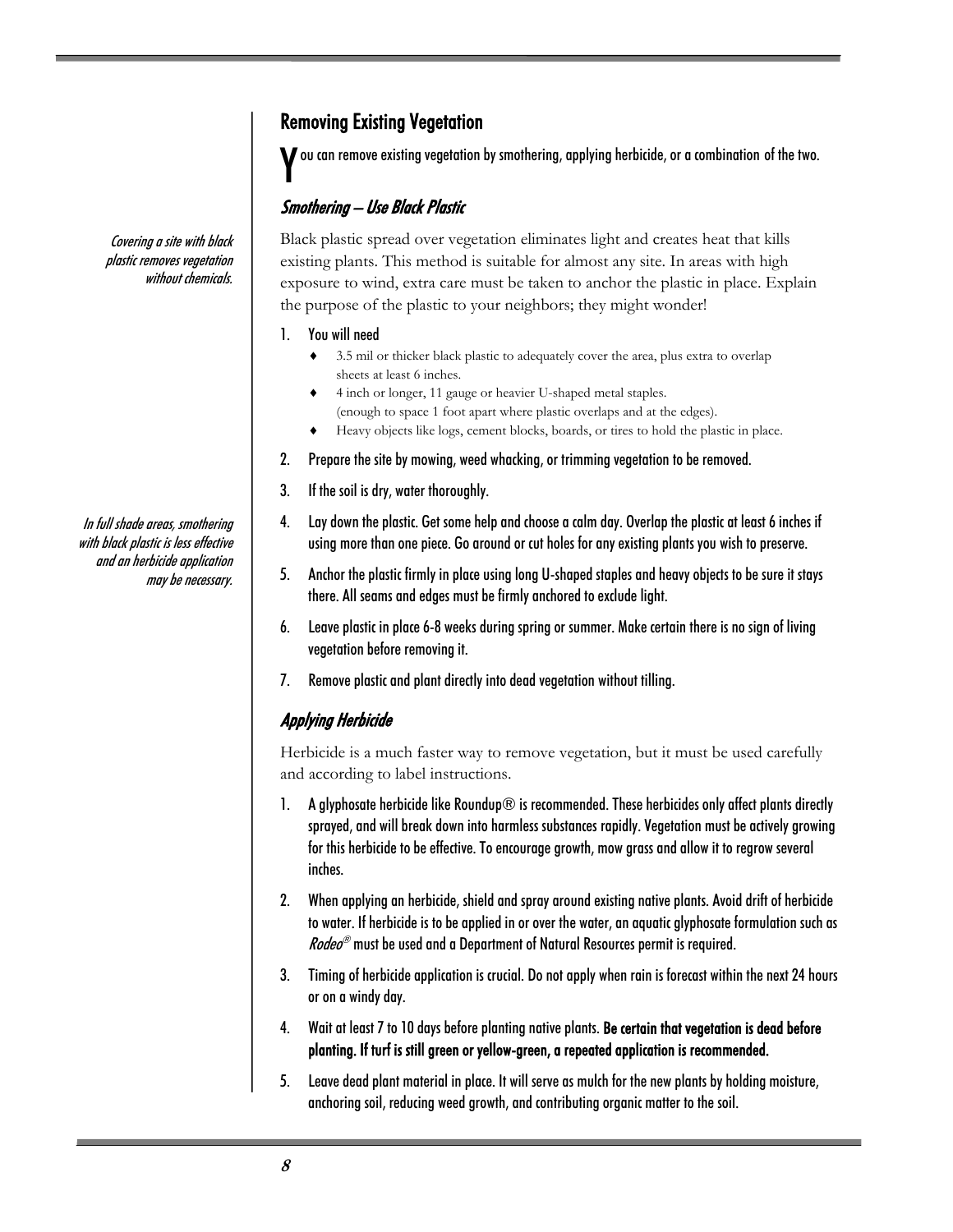#### Removing Existing Vegetation

ou can remove existing vegetation by smothering, applying herbicide, or a combination of the two. Y

#### Smothering – Use Black Plastic

Covering a site with black plastic removes vegetation without chemicals.

In full shade areas, smothering with black plastic is less effective and an herbicide application may be necessary. Black plastic spread over vegetation eliminates light and creates heat that kills existing plants. This method is suitable for almost any site. In areas with high exposure to wind, extra care must be taken to anchor the plastic in place. Explain the purpose of the plastic to your neighbors; they might wonder!

#### 1. You will need

- 3.5 mil or thicker black plastic to adequately cover the area, plus extra to overlap sheets at least 6 inches.
- 4 inch or longer, 11 gauge or heavier U-shaped metal staples.
- (enough to space 1 foot apart where plastic overlaps and at the edges).
- ♦ Heavy objects like logs, cement blocks, boards, or tires to hold the plastic in place.
- 2. Prepare the site by mowing, weed whacking, or trimming vegetation to be removed.
- 3. If the soil is dry, water thoroughly.
- 4. Lay down the plastic. Get some help and choose a calm day. Overlap the plastic at least 6 inches if using more than one piece. Go around or cut holes for any existing plants you wish to preserve.
- 5. Anchor the plastic firmly in place using long U-shaped staples and heavy objects to be sure it stays there. All seams and edges must be firmly anchored to exclude light.
- 6. Leave plastic in place 6-8 weeks during spring or summer. Make certain there is no sign of living vegetation before removing it.
- 7. Remove plastic and plant directly into dead vegetation without tilling.

#### Applying Herbicide

Herbicide is a much faster way to remove vegetation, but it must be used carefully and according to label instructions.

- 1. A glyphosate herbicide like Roundup $\circledR$  is recommended. These herbicides only affect plants directly sprayed, and will break down into harmless substances rapidly. Vegetation must be actively growing for this herbicide to be effective. To encourage growth, mow grass and allow it to regrow several inches.
- 2. When applying an herbicide, shield and spray around existing native plants. Avoid drift of herbicide to water. If herbicide is to be applied in or over the water, an aquatic glyphosate formulation such as *Rodeo*<sup>®</sup> must be used and a Department of Natural Resources permit is required.
- 3. Timing of herbicide application is crucial. Do not apply when rain is forecast within the next 24 hours or on a windy day.
- 4. Wait at least 7 to 10 days before planting native plants. Be certain that vegetation is dead before planting. If turf is still green or yellow-green, a repeated application is recommended.
- 5. Leave dead plant material in place. It will serve as mulch for the new plants by holding moisture, anchoring soil, reducing weed growth, and contributing organic matter to the soil.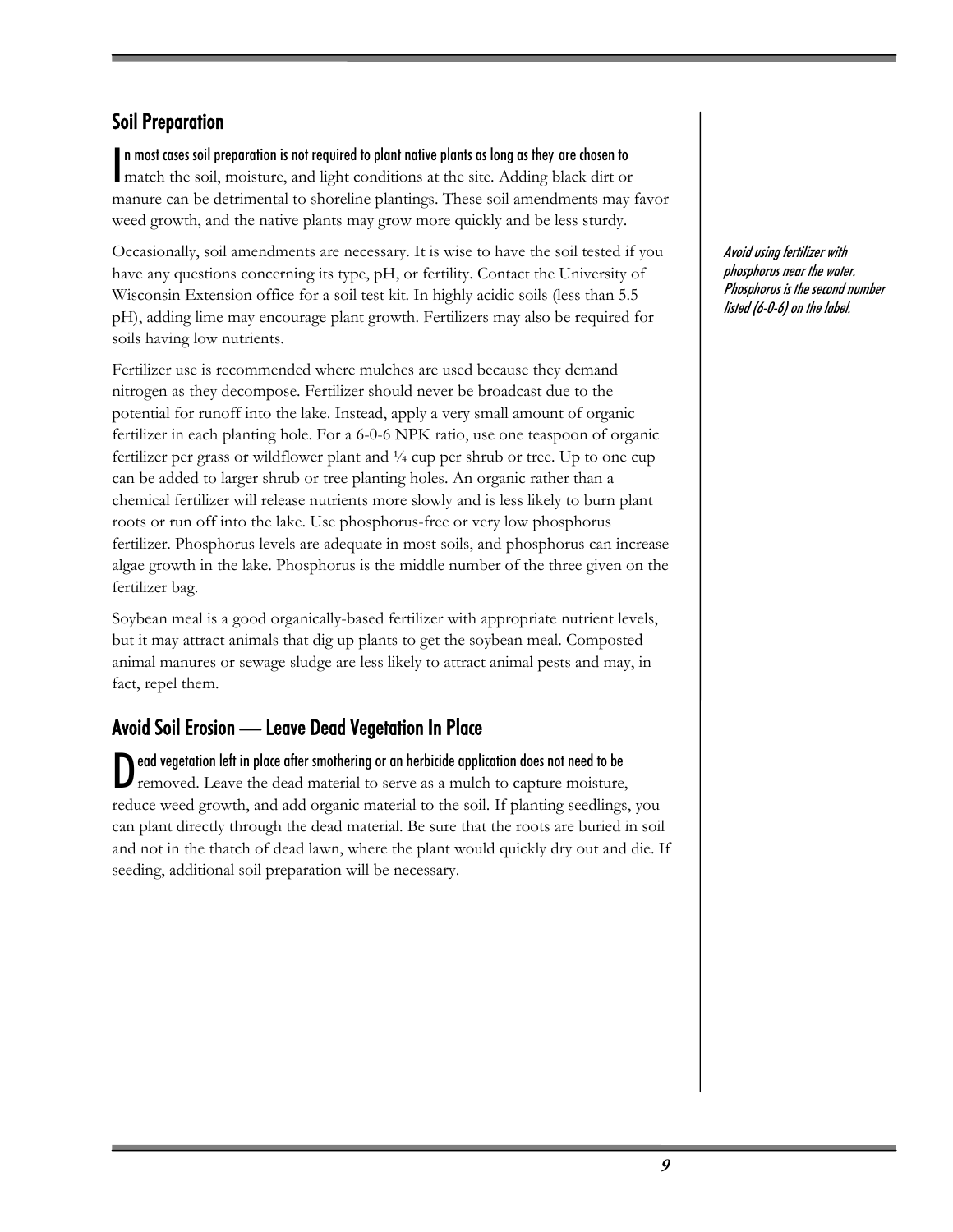#### Soil Preparation

n most cases soil preparation is not required to plant native plants as long as they are chosen to n most cases soil preparation is not required to plant native plants as long as they are chosen to match the soil, moisture, and light conditions at the site. Adding black dirt or manure can be detrimental to shoreline plantings. These soil amendments may favor weed growth, and the native plants may grow more quickly and be less sturdy.

Occasionally, soil amendments are necessary. It is wise to have the soil tested if you have any questions concerning its type, pH, or fertility. Contact the University of Wisconsin Extension office for a soil test kit. In highly acidic soils (less than 5.5 pH), adding lime may encourage plant growth. Fertilizers may also be required for soils having low nutrients.

Fertilizer use is recommended where mulches are used because they demand nitrogen as they decompose. Fertilizer should never be broadcast due to the potential for runoff into the lake. Instead, apply a very small amount of organic fertilizer in each planting hole. For a 6-0-6 NPK ratio, use one teaspoon of organic fertilizer per grass or wildflower plant and  $\frac{1}{4}$  cup per shrub or tree. Up to one cup can be added to larger shrub or tree planting holes. An organic rather than a chemical fertilizer will release nutrients more slowly and is less likely to burn plant roots or run off into the lake. Use phosphorus-free or very low phosphorus fertilizer. Phosphorus levels are adequate in most soils, and phosphorus can increase algae growth in the lake. Phosphorus is the middle number of the three given on the fertilizer bag.

Soybean meal is a good organically-based fertilizer with appropriate nutrient levels, but it may attract animals that dig up plants to get the soybean meal. Composted animal manures or sewage sludge are less likely to attract animal pests and may, in fact, repel them.

#### Avoid Soil Erosion — Leave Dead Vegetation In Place

ead vegetation left in place after smothering or an herbicide application does not need to be Dead vegetation left in place after smothering or an herbicide application does not need to be removed. Leave the dead material to serve as a mulch to capture moisture, reduce weed growth, and add organic material to the soil. If planting seedlings, you can plant directly through the dead material. Be sure that the roots are buried in soil and not in the thatch of dead lawn, where the plant would quickly dry out and die. If seeding, additional soil preparation will be necessary.

Avoid using fertilizer with phosphorus near the water. Phosphorus is the second number listed (6-0-6) on the label.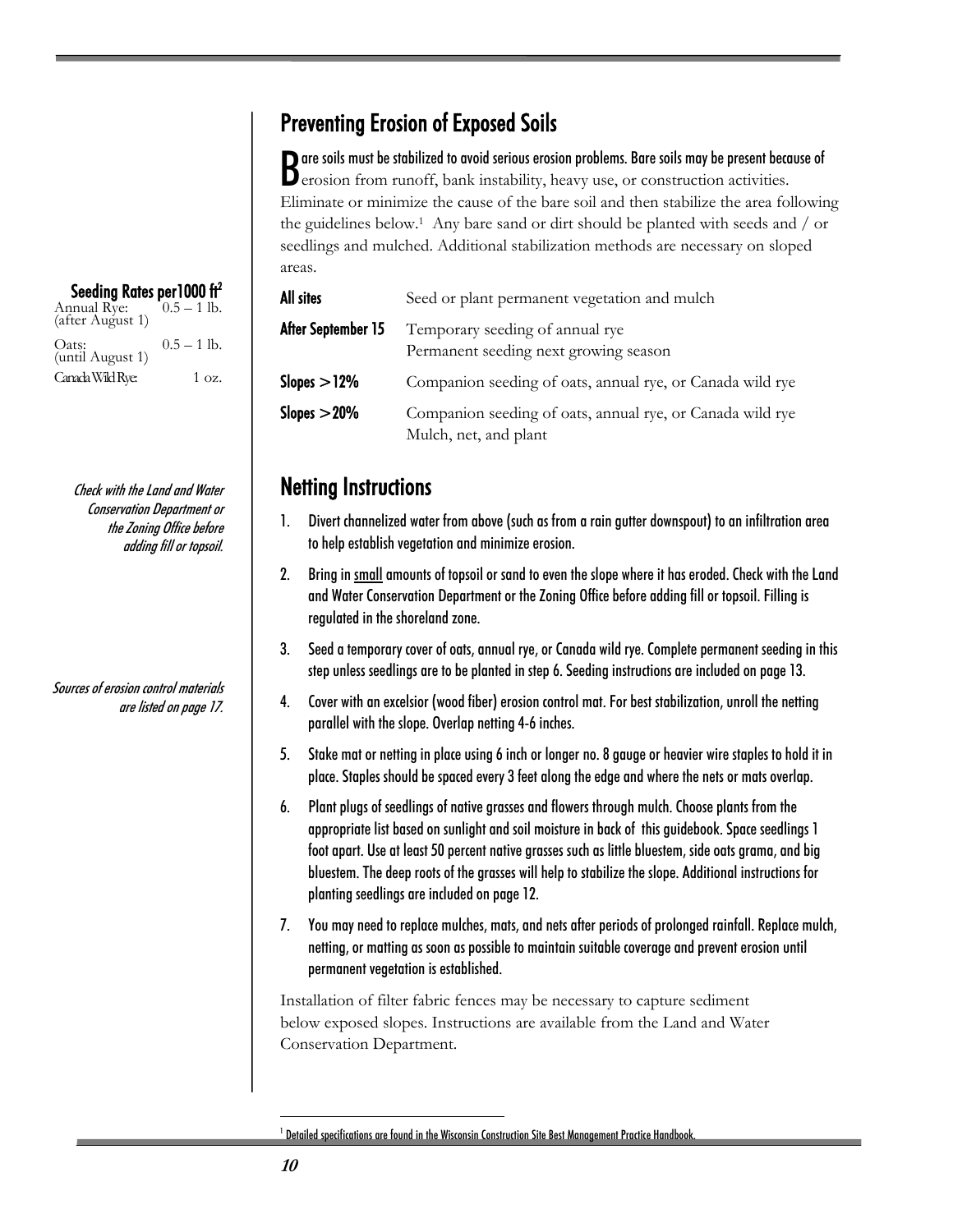## Preventing Erosion of Exposed Soils

But the soils must be stabilized to avoid serious erosion problems. Bare soils may be present because of erosion from runoff, bank instability, heavy use, or construction activities.  $\mathbf D$  erosion from runoff, bank instability, heavy use, or construction activities. Eliminate or minimize the cause of the bare soil and then stabilize the area following the guidelines below.1 Any bare sand or dirt should be planted with seeds and / or seedlings and mulched. Additional stabilization methods are necessary on sloped areas.

| All sites          | Seed or plant permanent vegetation and mulch                                       |
|--------------------|------------------------------------------------------------------------------------|
| After September 15 | Temporary seeding of annual rye<br>Permanent seeding next growing season           |
| Slopes $>12\%$     | Companion seeding of oats, annual rye, or Canada wild rye                          |
| Slopes $>$ 20%     | Companion seeding of oats, annual rye, or Canada wild rye<br>Mulch, net, and plant |

## Netting Instructions

- 1. Divert channelized water from above (such as from a rain gutter downspout) to an infiltration area to help establish vegetation and minimize erosion.
- 2. Bring in small amounts of topsoil or sand to even the slope where it has eroded. Check with the Land and Water Conservation Department or the Zoning Office before adding fill or topsoil. Filling is regulated in the shoreland zone.
- 3. Seed a temporary cover of oats, annual rye, or Canada wild rye. Complete permanent seeding in this step unless seedlings are to be planted in step 6. Seeding instructions are included on page 13.
- 4. Cover with an excelsior (wood fiber) erosion control mat. For best stabilization, unroll the netting parallel with the slope. Overlap netting 4-6 inches.
- 5. Stake mat or netting in place using 6 inch or longer no. 8 gauge or heavier wire staples to hold it in place. Staples should be spaced every 3 feet along the edge and where the nets or mats overlap.
- 6. Plant plugs of seedlings of native grasses and flowers through mulch. Choose plants from the appropriate list based on sunlight and soil moisture in back of this guidebook. Space seedlings 1 foot apart. Use at least 50 percent native grasses such as little bluestem, side oats grama, and big bluestem. The deep roots of the grasses will help to stabilize the slope. Additional instructions for planting seedlings are included on page 12.
- 7. You may need to replace mulches, mats, and nets after periods of prolonged rainfall. Replace mulch, netting, or matting as soon as possible to maintain suitable coverage and prevent erosion until permanent vegetation is established.

Installation of filter fabric fences may be necessary to capture sediment below exposed slopes. Instructions are available from the Land and Water Conservation Department.

 $^{\rm 1}$  Detailed specifications are found in the Wisconsin Construction Site Best Management Practice Handbook.

| Seeding Rates per 1000 ft <sup>2</sup><br>Annual Rye:<br>(after August 1) | $0.5 - 1$ lb.   |
|---------------------------------------------------------------------------|-----------------|
| Oats:<br>(until August 1)                                                 | $0.5 - 1$ lb.   |
| Canada Wild Rye:                                                          | $1 \text{ oz.}$ |

Check with the Land and Water Conservation Department or the Zoning Office before adding fill or topsoil.

Sources of erosion control materials are listed on page 17.

 $\overline{a}$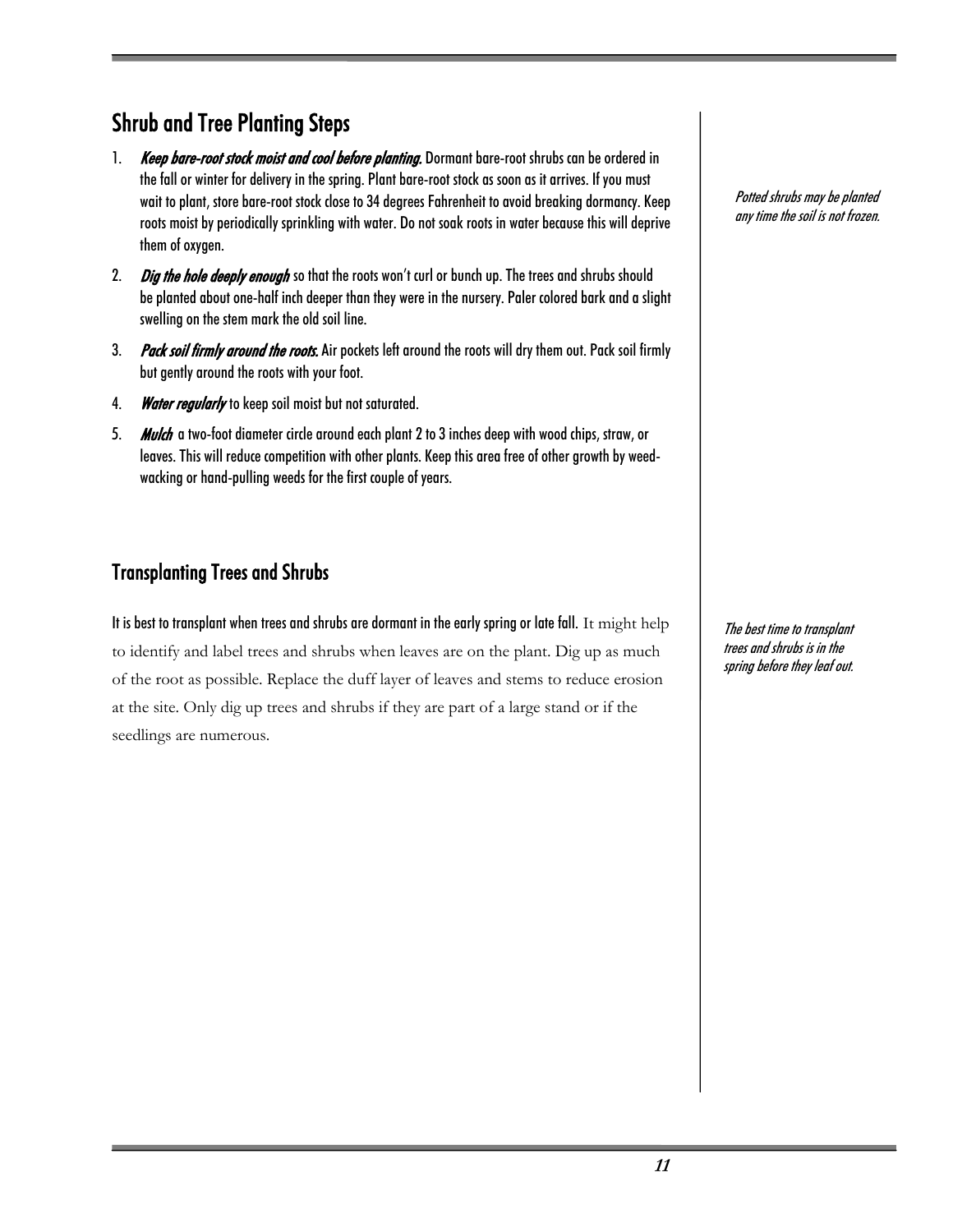## Shrub and Tree Planting Steps

- 1. Keep bare-root stock moist and cool before planting. Dormant bare-root shrubs can be ordered in the fall or winter for delivery in the spring. Plant bare-root stock as soon as it arrives. If you must wait to plant, store bare-root stock close to 34 degrees Fahrenheit to avoid breaking dormancy. Keep roots moist by periodically sprinkling with water. Do not soak roots in water because this will deprive them of oxygen.
- 2. Dig the hole deeply enough so that the roots won't curl or bunch up. The trees and shrubs should be planted about one-half inch deeper than they were in the nursery. Paler colored bark and a slight swelling on the stem mark the old soil line.
- 3. Pack soil firmly around the roots. Air pockets left around the roots will dry them out. Pack soil firmly but gently around the roots with your foot.
- 4. Water regularly to keep soil moist but not saturated.
- 5. Mulch a two-foot diameter circle around each plant 2 to 3 inches deep with wood chips, straw, or leaves. This will reduce competition with other plants. Keep this area free of other growth by weedwacking or hand-pulling weeds for the first couple of years.

#### Transplanting Trees and Shrubs

It is best to transplant when trees and shrubs are dormant in the early spring or late fall. It might help to identify and label trees and shrubs when leaves are on the plant. Dig up as much of the root as possible. Replace the duff layer of leaves and stems to reduce erosion at the site. Only dig up trees and shrubs if they are part of a large stand or if the seedlings are numerous.

Potted shrubs may be planted any time the soil is not frozen.

The best time to transplant trees and shrubs is in the spring before they leaf out.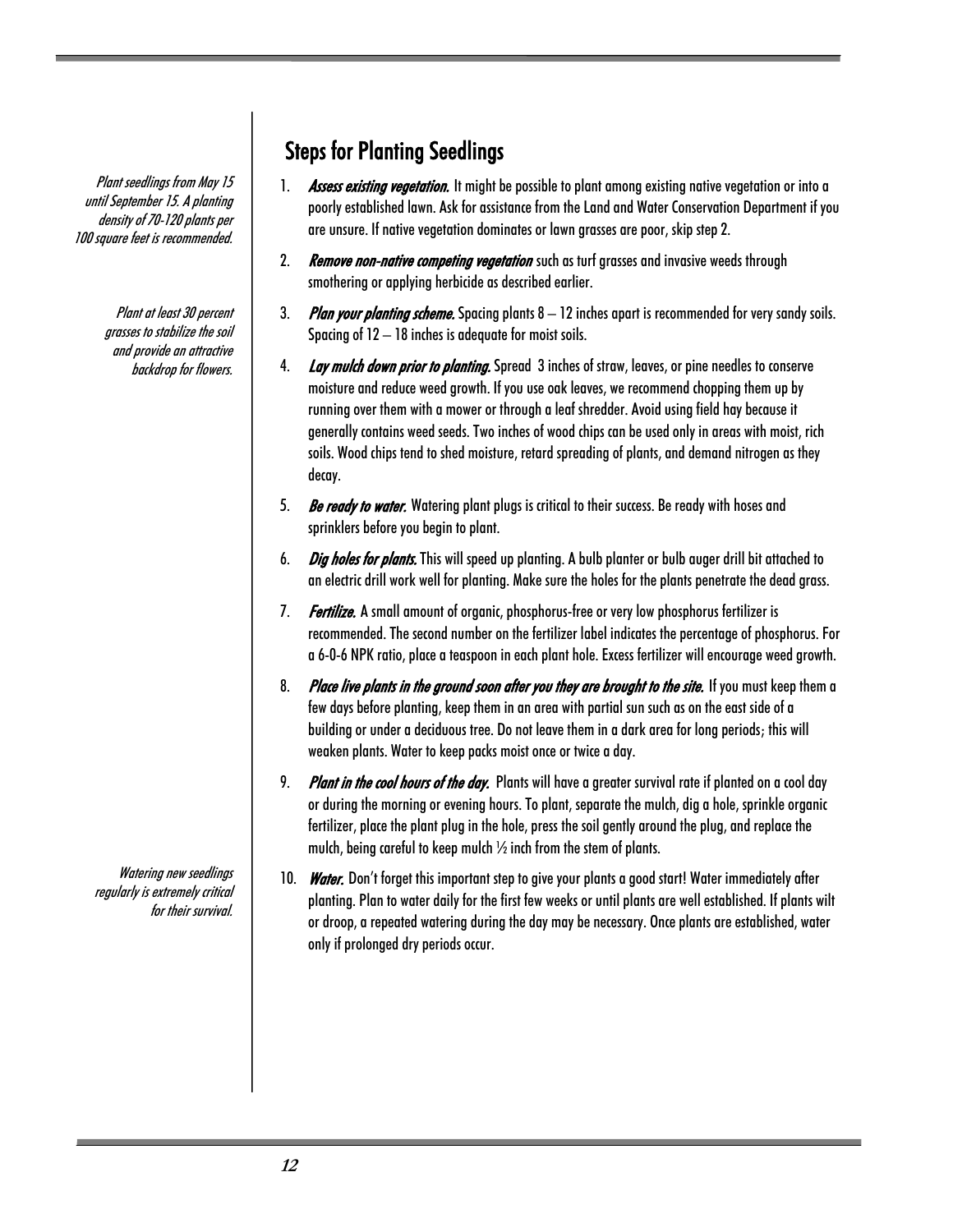Plant seedlings from May 15 until September 15. A planting density of 70-120 plants per 100 square feet is recommended.

> Plant at least 30 percent grasses to stabilize the soil and provide an attractive backdrop for flowers.

Steps for Planting Seedlings

- 1. Assess existing vegetation. It might be possible to plant among existing native vegetation or into a poorly established lawn. Ask for assistance from the Land and Water Conservation Department if you are unsure. If native vegetation dominates or lawn grasses are poor, skip step 2.
- 2. Remove non-native competing vegetation such as turf grasses and invasive weeds through smothering or applying herbicide as described earlier.
- 3. Plan your planting scheme. Spacing plants  $8-12$  inches apart is recommended for very sandy soils. Spacing of 12 – 18 inches is adequate for moist soils.
- 4. Lay mulch down prior to planting. Spread 3 inches of straw, leaves, or pine needles to conserve moisture and reduce weed growth. If you use oak leaves, we recommend chopping them up by running over them with a mower or through a leaf shredder. Avoid using field hay because it generally contains weed seeds. Two inches of wood chips can be used only in areas with moist, rich soils. Wood chips tend to shed moisture, retard spreading of plants, and demand nitrogen as they decay.
- 5. Be ready to water. Watering plant plugs is critical to their success. Be ready with hoses and sprinklers before you begin to plant.
- 6. *Dig holes for plants*. This will speed up planting. A bulb planter or bulb auger drill bit attached to an electric drill work well for planting. Make sure the holes for the plants penetrate the dead grass.
- 7. Fertilize. A small amount of organic, phosphorus-free or very low phosphorus fertilizer is recommended. The second number on the fertilizer label indicates the percentage of phosphorus. For a 6-0-6 NPK ratio, place a teaspoon in each plant hole. Excess fertilizer will encourage weed growth.
- 8. Place live plants in the ground soon after you they are brought to the site. If you must keep them a few days before planting, keep them in an area with partial sun such as on the east side of a building or under a deciduous tree. Do not leave them in a dark area for long periods; this will weaken plants. Water to keep packs moist once or twice a day.
- 9. Plant in the cool hours of the day. Plants will have a greater survival rate if planted on a cool day or during the morning or evening hours. To plant, separate the mulch, dig a hole, sprinkle organic fertilizer, place the plant plug in the hole, press the soil gently around the plug, and replace the mulch, being careful to keep mulch ½ inch from the stem of plants.
- 10. Water. Don't forget this important step to give your plants a good start! Water immediately after planting. Plan to water daily for the first few weeks or until plants are well established. If plants wilt or droop, a repeated watering during the day may be necessary. Once plants are established, water only if prolonged dry periods occur.

Watering new seedlings regularly is extremely critical for their survival.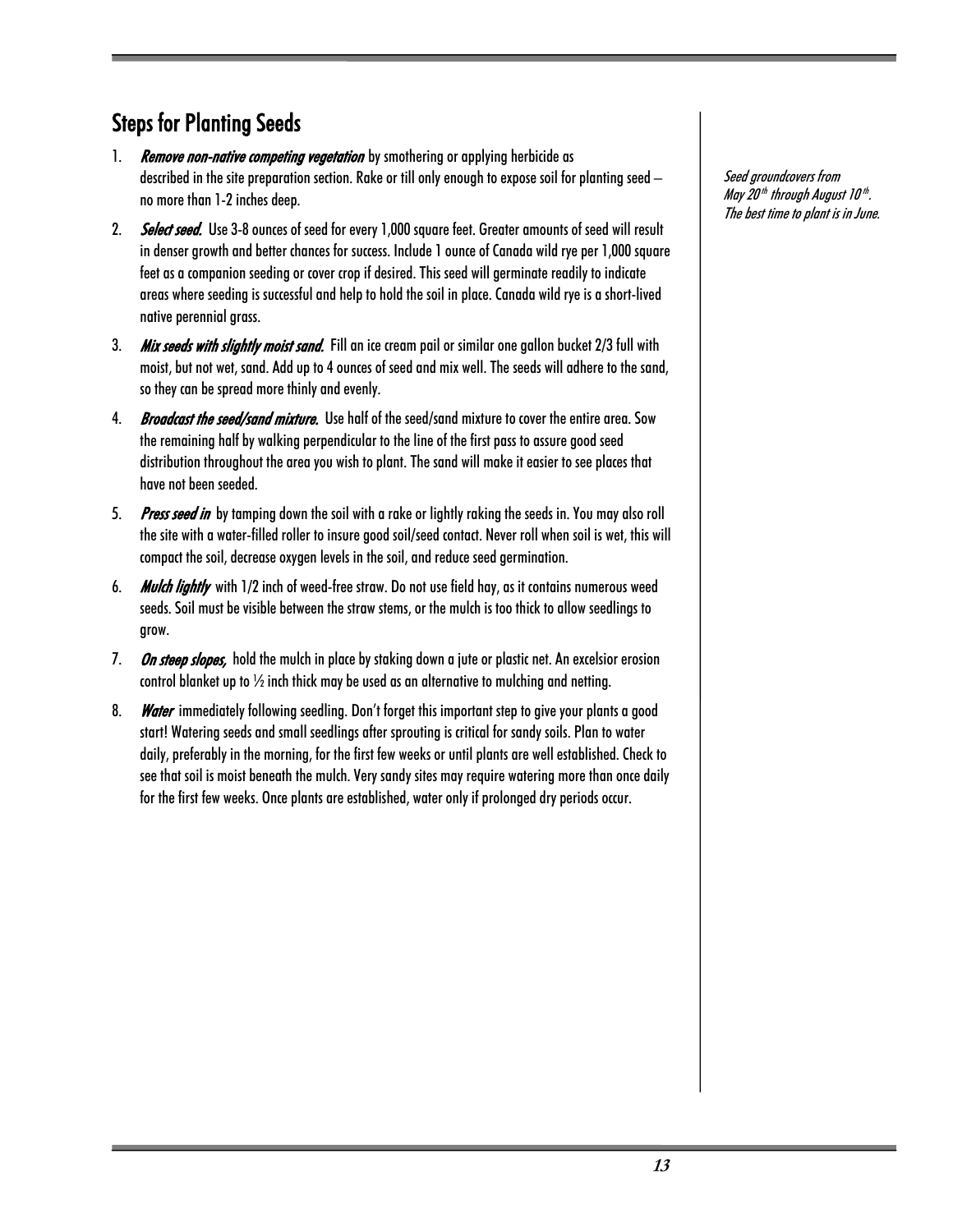## Steps for Planting Seeds

- 1. **Remove non-native competing vegetation** by smothering or applying herbicide as described in the site preparation section. Rake or till only enough to expose soil for planting seed – no more than 1-2 inches deep.
- 2. Select seed. Use 3-8 ounces of seed for every 1,000 square feet. Greater amounts of seed will result in denser growth and better chances for success. Include 1 ounce of Canada wild rye per 1,000 square feet as a companion seeding or cover crop if desired. This seed will germinate readily to indicate areas where seeding is successful and help to hold the soil in place. Canada wild rye is a short-lived native perennial grass.
- 3. Mix seeds with slightly moist sand. Fill an ice cream pail or similar one gallon bucket 2/3 full with moist, but not wet, sand. Add up to 4 ounces of seed and mix well. The seeds will adhere to the sand, so they can be spread more thinly and evenly.
- 4. Broadcast the seed/sand mixture. Use half of the seed/sand mixture to cover the entire area. Sow the remaining half by walking perpendicular to the line of the first pass to assure good seed distribution throughout the area you wish to plant. The sand will make it easier to see places that have not been seeded.
- 5. Press seed in by tamping down the soil with a rake or lightly raking the seeds in. You may also roll the site with a water-filled roller to insure good soil/seed contact. Never roll when soil is wet, this will compact the soil, decrease oxygen levels in the soil, and reduce seed germination.
- 6. Mulch lightly with 1/2 inch of weed-free straw. Do not use field hay, as it contains numerous weed seeds. Soil must be visible between the straw stems, or the mulch is too thick to allow seedlings to grow.
- 7. On steep slopes, hold the mulch in place by staking down a jute or plastic net. An excelsior erosion control blanket up to  $\frac{1}{2}$  inch thick may be used as an alternative to mulching and netting.
- 8. Water immediately following seedling. Don't forget this important step to give your plants a good start! Watering seeds and small seedlings after sprouting is critical for sandy soils. Plan to water daily, preferably in the morning, for the first few weeks or until plants are well established. Check to see that soil is moist beneath the mulch. Very sandy sites may require watering more than once daily for the first few weeks. Once plants are established, water only if prolonged dry periods occur.

Seed groundcovers from May 20<sup>th</sup> through August 10<sup>th</sup>. The best time to plant is in June.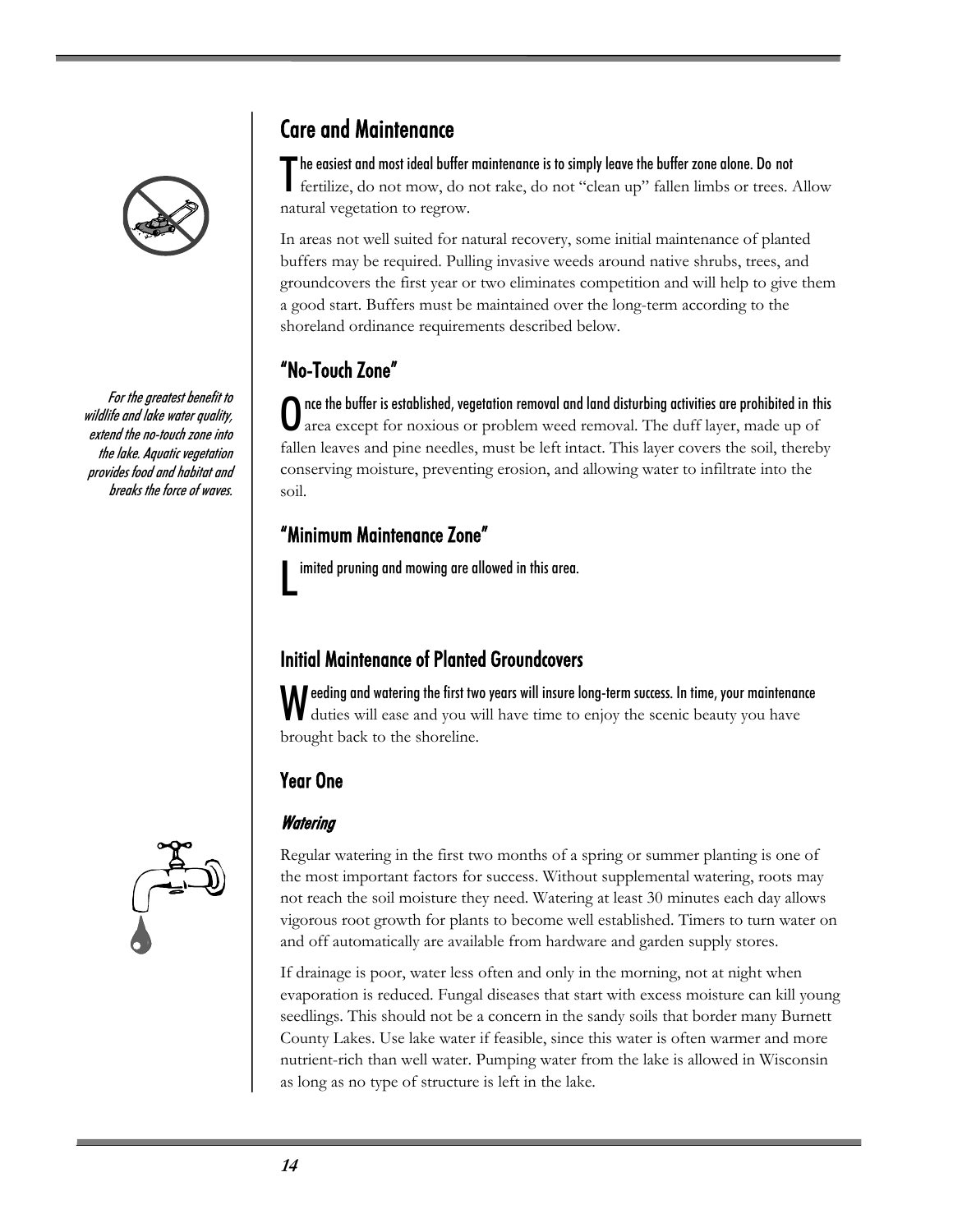

For the greatest benefit to wildlife and lake water quality, extend the no-touch zone into the lake. Aquatic vegetation provides food and habitat and breaks the force of waves.



## Care and Maintenance

he easiest and most ideal buffer maintenance is to simply leave the buffer zone alone. Do not The easiest and most ideal buffer maintenance is to simply leave the buffer zone alone. Do not<br>fertilize, do not mow, do not rake, do not "clean up" fallen limbs or trees. Allow natural vegetation to regrow.

In areas not well suited for natural recovery, some initial maintenance of planted buffers may be required. Pulling invasive weeds around native shrubs, trees, and groundcovers the first year or two eliminates competition and will help to give them a good start. Buffers must be maintained over the long-term according to the shoreland ordinance requirements described below.

## "No-Touch Zone"

nce the buffer is established, vegetation removal and land disturbing activities are prohibited in this area except for noxious or problem weed removal. The duff layer, made up of fallen leaves and pine needles, must be left intact. This layer covers the soil, thereby conserving moisture, preventing erosion, and allowing water to infiltrate into the soil.  $\bf{0}$ 

#### "Minimum Maintenance Zone"

imited pruning and mowing are allowed in this area. L

### Initial Maintenance of Planted Groundcovers

eeding and watering the first two years will insure long-term success. In time, your maintenance Weeding and watering the first two years will insure long-term success. In time, your maintenant duties will ease and you will have time to enjoy the scenic beauty you have brought back to the shoreline.

#### Year One

#### **Watering**

Regular watering in the first two months of a spring or summer planting is one of the most important factors for success. Without supplemental watering, roots may not reach the soil moisture they need. Watering at least 30 minutes each day allows vigorous root growth for plants to become well established. Timers to turn water on and off automatically are available from hardware and garden supply stores.

If drainage is poor, water less often and only in the morning, not at night when evaporation is reduced. Fungal diseases that start with excess moisture can kill young seedlings. This should not be a concern in the sandy soils that border many Burnett County Lakes. Use lake water if feasible, since this water is often warmer and more nutrient-rich than well water. Pumping water from the lake is allowed in Wisconsin as long as no type of structure is left in the lake.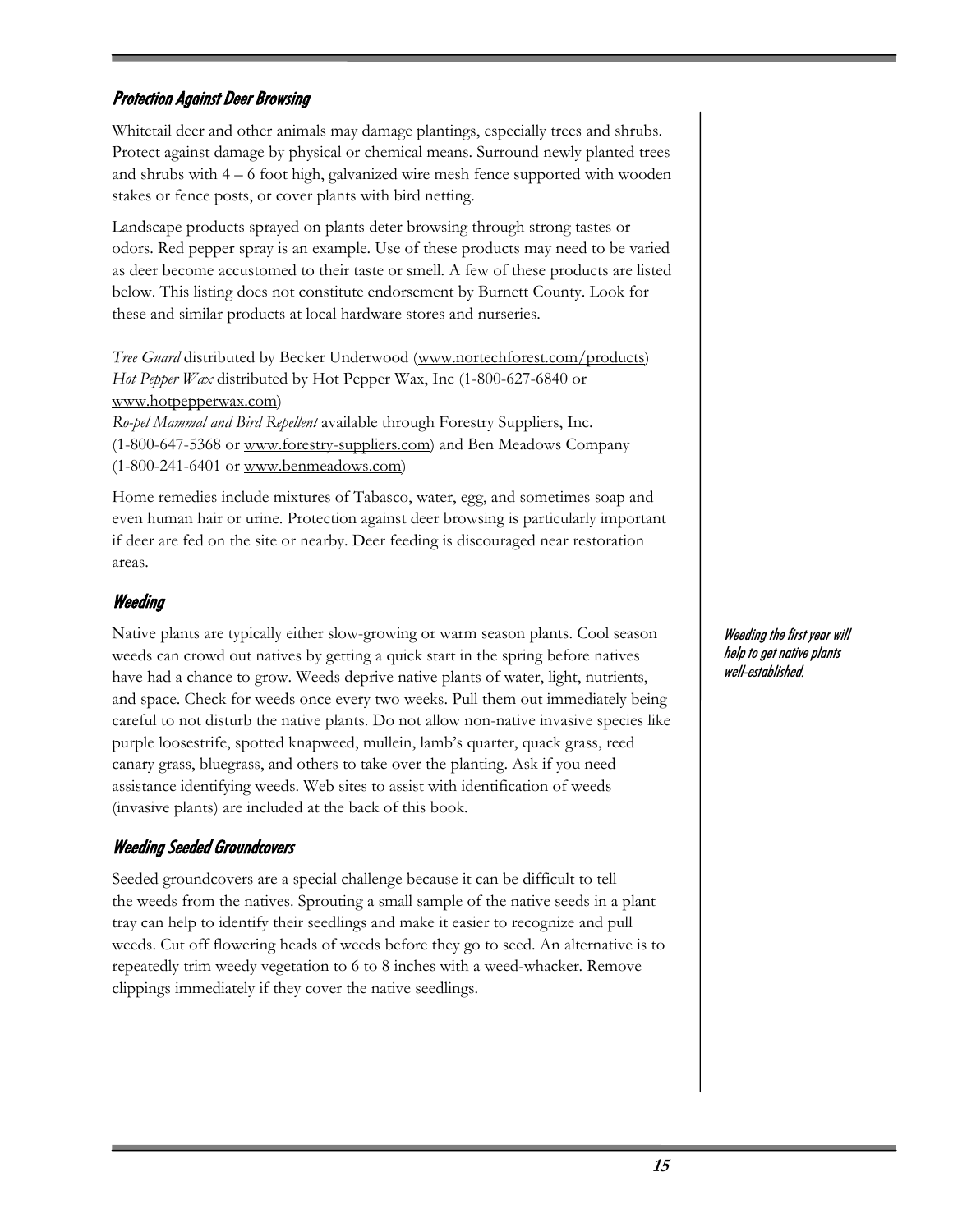#### Protection Against Deer Browsing

Whitetail deer and other animals may damage plantings, especially trees and shrubs. Protect against damage by physical or chemical means. Surround newly planted trees and shrubs with 4 – 6 foot high, galvanized wire mesh fence supported with wooden stakes or fence posts, or cover plants with bird netting.

Landscape products sprayed on plants deter browsing through strong tastes or odors. Red pepper spray is an example. Use of these products may need to be varied as deer become accustomed to their taste or smell. A few of these products are listed below. This listing does not constitute endorsement by Burnett County. Look for these and similar products at local hardware stores and nurseries.

*Tree Guard* distributed by Becker Underwood (www.nortechforest.com/products) *Hot Pepper Wax* distributed by Hot Pepper Wax, Inc (1-800-627-6840 or www.hotpepperwax.com)

*Ro-pel Mammal and Bird Repellent* available through Forestry Suppliers, Inc. (1-800-647-5368 or www.forestry-suppliers.com) and Ben Meadows Company (1-800-241-6401 or www.benmeadows.com)

Home remedies include mixtures of Tabasco, water, egg, and sometimes soap and even human hair or urine. Protection against deer browsing is particularly important if deer are fed on the site or nearby. Deer feeding is discouraged near restoration areas.

#### Weeding

Native plants are typically either slow-growing or warm season plants. Cool season weeds can crowd out natives by getting a quick start in the spring before natives have had a chance to grow. Weeds deprive native plants of water, light, nutrients, and space. Check for weeds once every two weeks. Pull them out immediately being careful to not disturb the native plants. Do not allow non-native invasive species like purple loosestrife, spotted knapweed, mullein, lamb's quarter, quack grass, reed canary grass, bluegrass, and others to take over the planting. Ask if you need assistance identifying weeds. Web sites to assist with identification of weeds (invasive plants) are included at the back of this book.

#### Weeding Seeded Groundcovers

Seeded groundcovers are a special challenge because it can be difficult to tell the weeds from the natives. Sprouting a small sample of the native seeds in a plant tray can help to identify their seedlings and make it easier to recognize and pull weeds. Cut off flowering heads of weeds before they go to seed. An alternative is to repeatedly trim weedy vegetation to 6 to 8 inches with a weed-whacker. Remove clippings immediately if they cover the native seedlings.

Weeding the first year will help to get native plants well-established.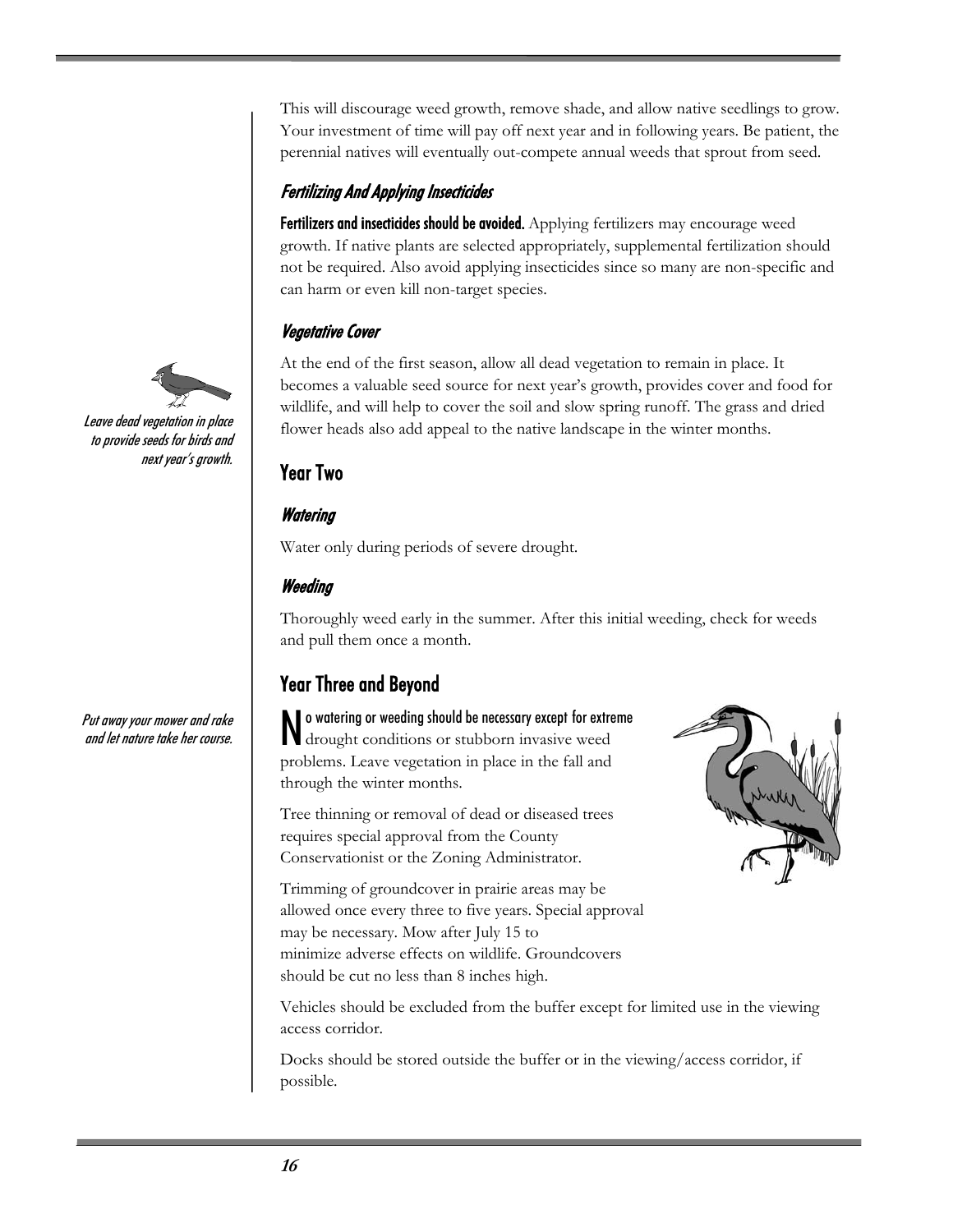This will discourage weed growth, remove shade, and allow native seedlings to grow. Your investment of time will pay off next year and in following years. Be patient, the perennial natives will eventually out-compete annual weeds that sprout from seed.

#### Fertilizing And Applying Insecticides

Fertilizers and insecticides should be avoided. Applying fertilizers may encourage weed growth. If native plants are selected appropriately, supplemental fertilization should not be required. Also avoid applying insecticides since so many are non-specific and can harm or even kill non-target species.

#### Vegetative Cover

At the end of the first season, allow all dead vegetation to remain in place. It becomes a valuable seed source for next year's growth, provides cover and food for wildlife, and will help to cover the soil and slow spring runoff. The grass and dried flower heads also add appeal to the native landscape in the winter months.

#### Year Two

#### **Watering**

Water only during periods of severe drought.

#### Weeding

Thoroughly weed early in the summer. After this initial weeding, check for weeds and pull them once a month.

## Year Three and Beyond

No watering or weeding should be necessary except for extreme<br>drought conditions or stubborn invasive weed drought conditions or stubborn invasive weed problems. Leave vegetation in place in the fall and through the winter months.

Tree thinning or removal of dead or diseased trees requires special approval from the County Conservationist or the Zoning Administrator.

Trimming of groundcover in prairie areas may be allowed once every three to five years. Special approval may be necessary. Mow after July 15 to minimize adverse effects on wildlife. Groundcovers should be cut no less than 8 inches high.



Vehicles should be excluded from the buffer except for limited use in the viewing access corridor.

Docks should be stored outside the buffer or in the viewing/access corridor, if possible.



Leave dead vegetation in place to provide seeds for birds and next year's growth.

Put away your mower and rake and let nature take her course.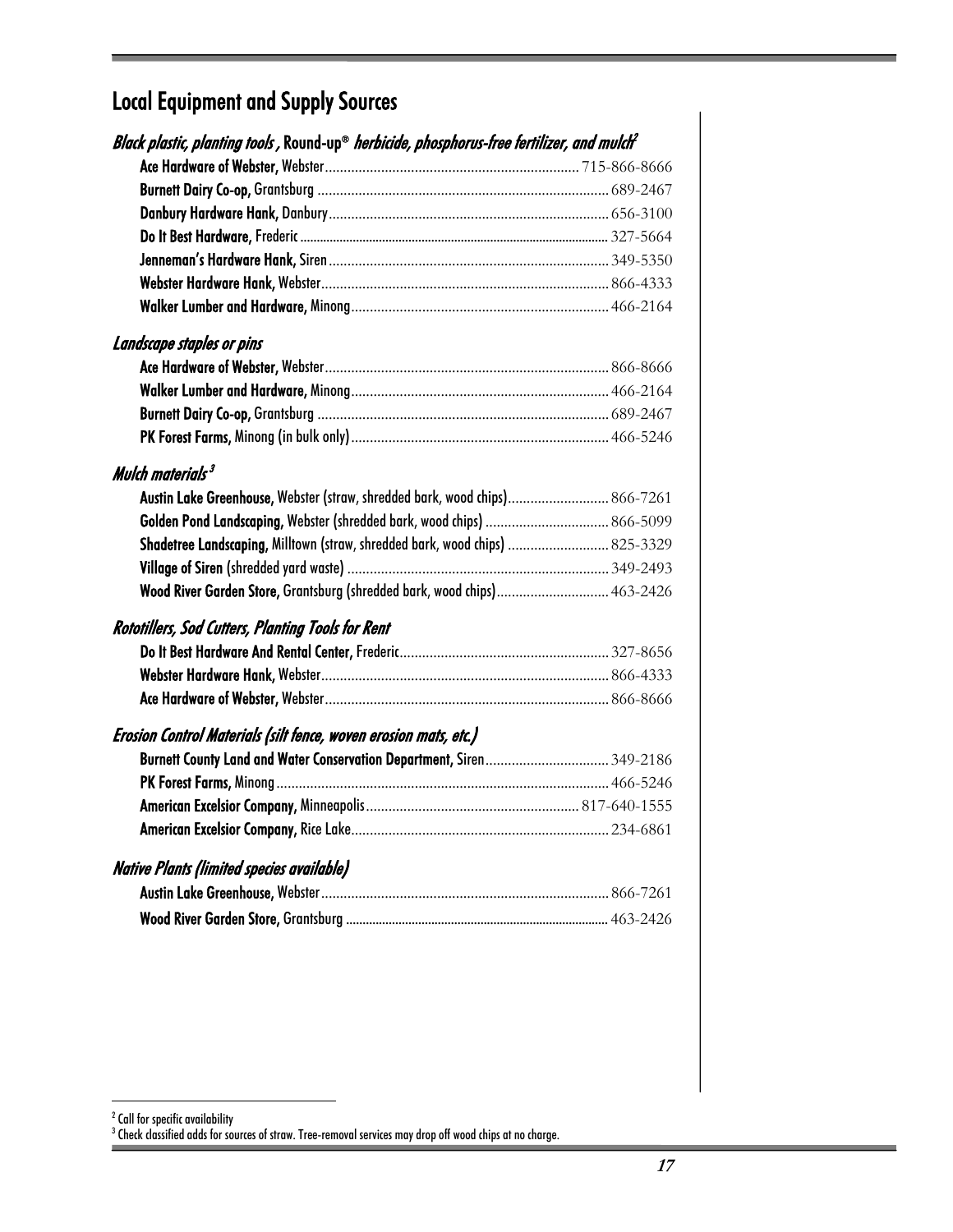## Local Equipment and Supply Sources

| Black plastic, planting tools , Round-up® herbicide, phosphorus-free fertilizer, and mulch <sup>2</sup> |  |
|---------------------------------------------------------------------------------------------------------|--|
|                                                                                                         |  |
|                                                                                                         |  |
|                                                                                                         |  |
|                                                                                                         |  |
|                                                                                                         |  |
|                                                                                                         |  |
|                                                                                                         |  |
| Landscape staples or pins                                                                               |  |
|                                                                                                         |  |
|                                                                                                         |  |
|                                                                                                         |  |
|                                                                                                         |  |
| Mulch materials $3$                                                                                     |  |
| Austin Lake Greenhouse, Webster (straw, shredded bark, wood chips) 866-7261                             |  |
| Golden Pond Landscaping, Webster (shredded bark, wood chips)  866-5099                                  |  |
| Shadetree Landscaping, Milltown (straw, shredded bark, wood chips)  825-3329                            |  |
|                                                                                                         |  |
| Wood River Garden Store, Grantsburg (shredded bark, wood chips) 463-2426                                |  |
| <b>Rototillers, Sod Cutters, Planting Tools for Rent</b>                                                |  |
|                                                                                                         |  |
|                                                                                                         |  |
|                                                                                                         |  |
| Erosion Control Materials (silt fence, woven erosion mats, etc.)                                        |  |
| Burnett County Land and Water Conservation Department, Siren349-2186                                    |  |
|                                                                                                         |  |
|                                                                                                         |  |
|                                                                                                         |  |
| <b>Native Plants (limited species available)</b>                                                        |  |
|                                                                                                         |  |
|                                                                                                         |  |
|                                                                                                         |  |

2 Call for specific availability 3 Check classified adds for sources of straw. Tree-removal services may drop off wood chips at no charge.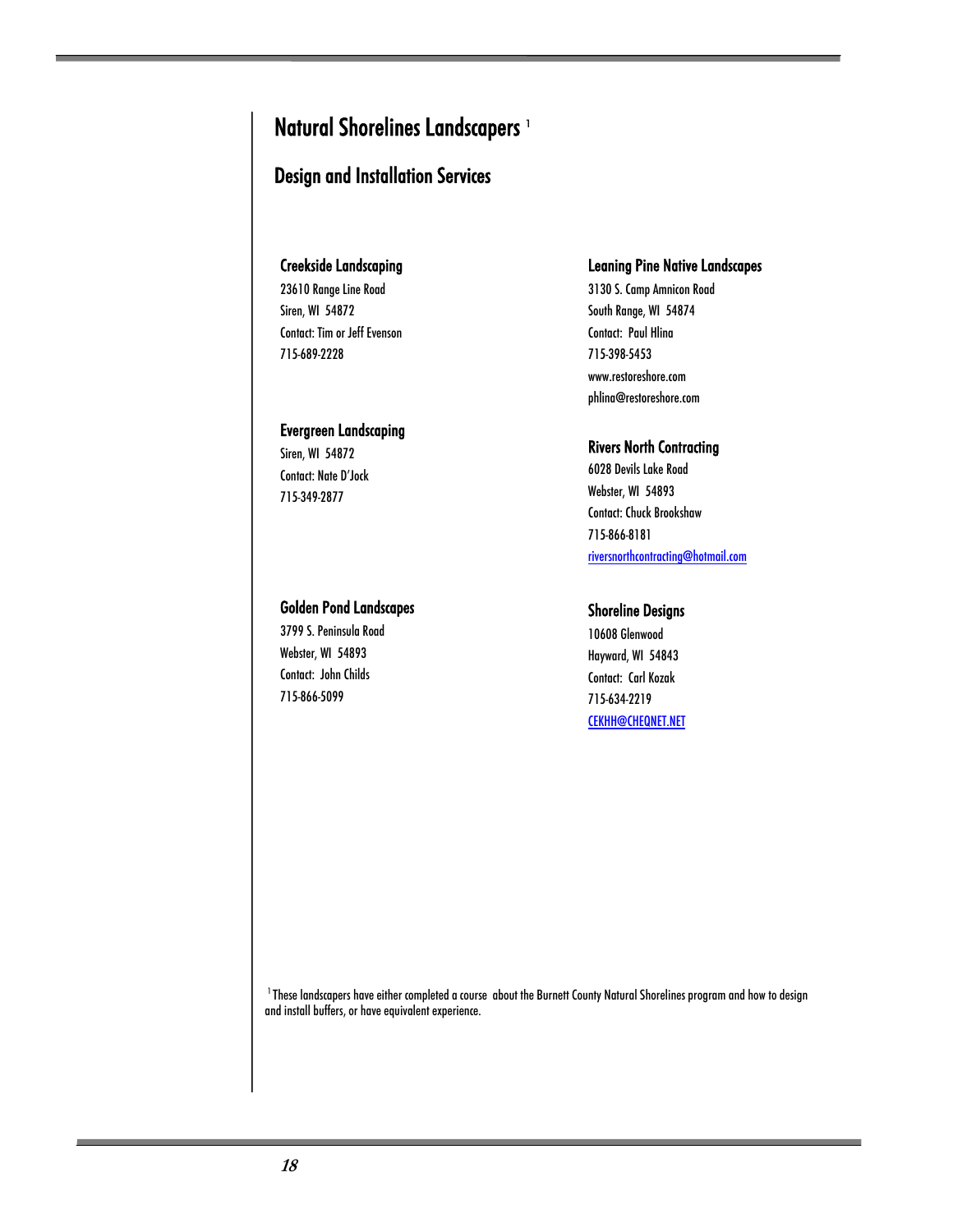## Natural Shorelines Landscapers<sup>1</sup>

#### Design and Installation Services

#### Creekside Landscaping

23610 Range Line Road Siren, WI 54872 Contact: Tim or Jeff Evenson 715-689-2228

#### Evergreen Landscaping

Siren, WI 54872 Contact: Nate D'Jock 715-349-2877

#### Leaning Pine Native Landscapes

3130 S. Camp Amnicon Road South Range, WI 54874 Contact: Paul Hlina 715-398-5453 www.restoreshore.com phlina@restoreshore.com

#### Rivers North Contracting

6028 Devils Lake Road Webster, WI 54893 Contact: Chuck Brookshaw 715-866-8181 riversnorthcontracting@hotmail.com

#### Shoreline Designs

10608 Glenwood Hayward, WI 54843 Contact: Carl Kozak 715-634-2219 CEKHH@CHEQNET.NET

<sup>1</sup> These landscapers have either completed a course about the Burnett County Natural Shorelines program and how to design and install buffers, or have equivalent experience.

#### Golden Pond Landscapes

3799 S. Peninsula Road Webster, WI 54893 Contact: John Childs 715-866-5099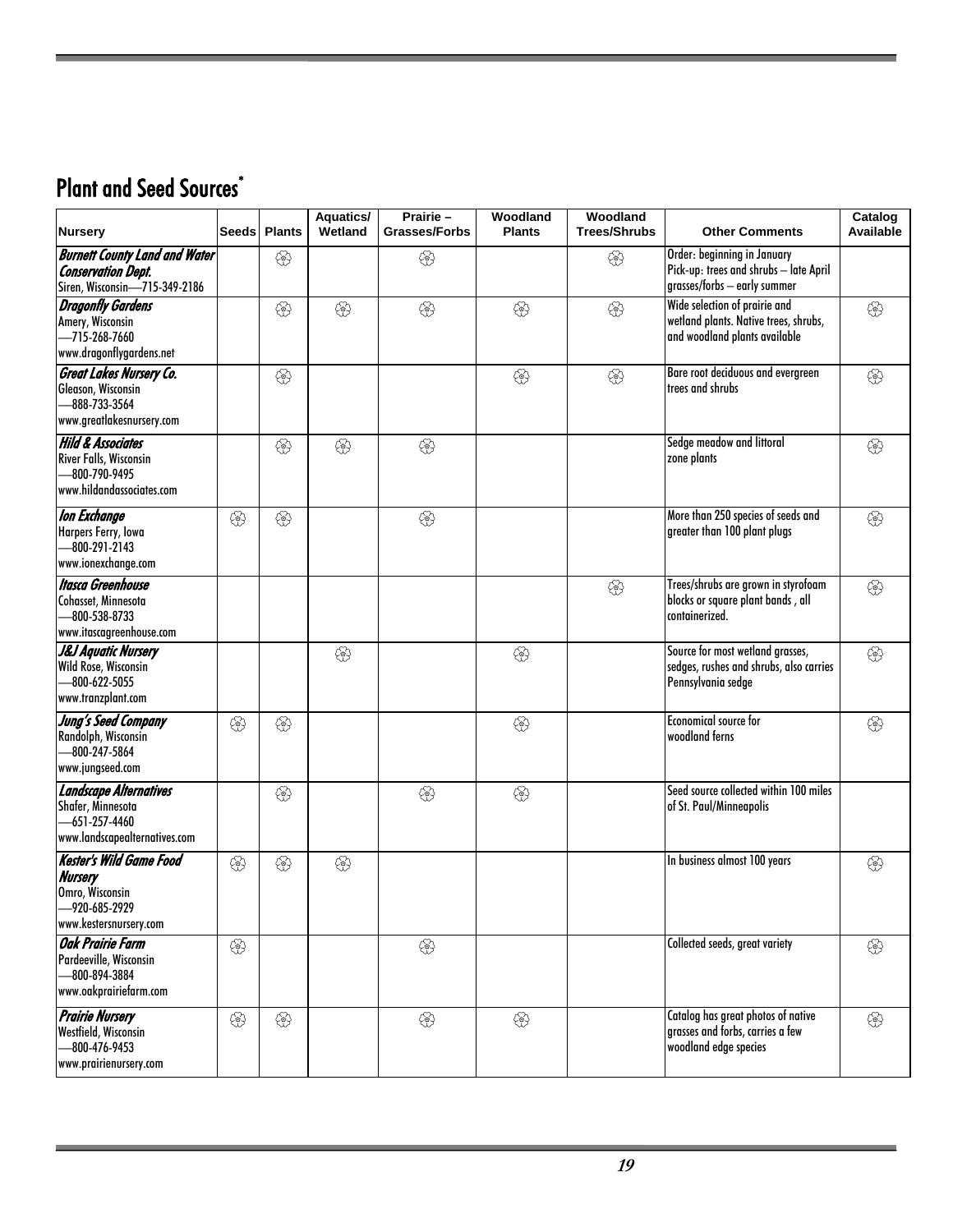## Plant and Seed Sources<sup>\*</sup>

| <b>Nursery</b>                                                                                                               | <b>Seeds</b> | <b>Plants</b> | <b>Aquatics/</b><br>Wetland | Prairie-<br><b>Grasses/Forbs</b> | Woodland<br><b>Plants</b> | Woodland<br><b>Trees/Shrubs</b> | <b>Other Comments</b>                                                                                   | Catalog<br>Available |
|------------------------------------------------------------------------------------------------------------------------------|--------------|---------------|-----------------------------|----------------------------------|---------------------------|---------------------------------|---------------------------------------------------------------------------------------------------------|----------------------|
| <b>Burnett County Land and Water</b><br><b>Conservation Dept.</b><br>Siren, Wisconsin-715-349-2186                           |              | ♧             |                             | ♧                                |                           | ♧                               | Order: beginning in January<br>Pick-up: trees and shrubs - late April<br>grasses/forbs - early summer   |                      |
| <b>Dragonfly Gardens</b><br>Amery, Wisconsin<br>-715-268-7660<br>www.dragonflygardens.net                                    |              | €             | 윤                           | €                                | €                         | €                               | Wide selection of prairie and<br>wetland plants. Native trees, shrubs,<br>and woodland plants available | €                    |
| <b>Great Lakes Nursery Co.</b><br>Gleason, Wisconsin<br>-888-733-3564<br>www.greatlakesnursery.com                           |              | ♧             |                             |                                  | ♧                         | €                               | Bare root deciduous and evergreen<br>trees and shrubs                                                   | 43                   |
| <b>Hild &amp; Associates</b><br>River Falls, Wisconsin<br>-800-790-9495<br>www.hildandassociates.com                         |              | €             | 윤                           | €                                |                           |                                 | Sedge meadow and littoral<br>zone plants                                                                | €                    |
| <b>Ion Exchange</b><br>Harpers Ferry, Iowa<br>$-800-291-2143$<br>www.ionexchange.com                                         | €            | ♧             |                             | €                                |                           |                                 | More than 250 species of seeds and<br>greater than 100 plant plugs                                      | €                    |
| <b>Itasca Greenhouse</b><br>Cohasset, Minnesota<br>-800-538-8733<br>www.itascagreenhouse.com                                 |              |               |                             |                                  |                           | €                               | Trees/shrubs are grown in styrofoam<br>blocks or square plant bands, all<br>containerized.              | €                    |
| <b>J&amp;J Aquatic Nursery</b><br>Wild Rose, Wisconsin<br>$-800 - 622 - 5055$<br>www.tranzplant.com                          |              |               | €                           |                                  | €                         |                                 | Source for most wetland grasses,<br>sedges, rushes and shrubs, also carries<br>Pennsylvania sedge       | E2                   |
| Jung's Seed Company<br>Randolph, Wisconsin<br>-800-247-5864<br>www.jungseed.com                                              | €            | €             |                             |                                  | €                         |                                 | <b>Economical source for</b><br>woodland ferns                                                          | €                    |
| <b>Landscape Alternatives</b><br>Shafer, Minnesota<br>-651-257-4460<br>www.landscapealternatives.com                         |              | €             |                             | E3                               | €                         |                                 | Seed source collected within 100 miles<br>of St. Paul/Minneapolis                                       |                      |
| <b>Kester's Wild Game Food</b><br><b>Nursery</b><br>Omro, Wisconsin<br>-920-685-2929                                         | ♧            | ♧             | €                           |                                  |                           |                                 | In business almost 100 years                                                                            | ♧                    |
| www.kestersnursery.com<br><b>Oak Prairie Farm</b><br>Pardeeville, Wisconsin<br>$-800 - 894 - 3884$<br>www.oakprairiefarm.com | 43           |               |                             | €                                |                           |                                 | Collected seeds, great variety                                                                          | 43                   |
| <b>Prairie Nursery</b><br>Westfield, Wisconsin<br>-800-476-9453<br>www.prairienursery.com                                    | 43           | <b>43</b>     |                             | €                                | €                         |                                 | Catalog has great photos of native<br>grasses and forbs, carries a few<br>woodland edge species         | ₩                    |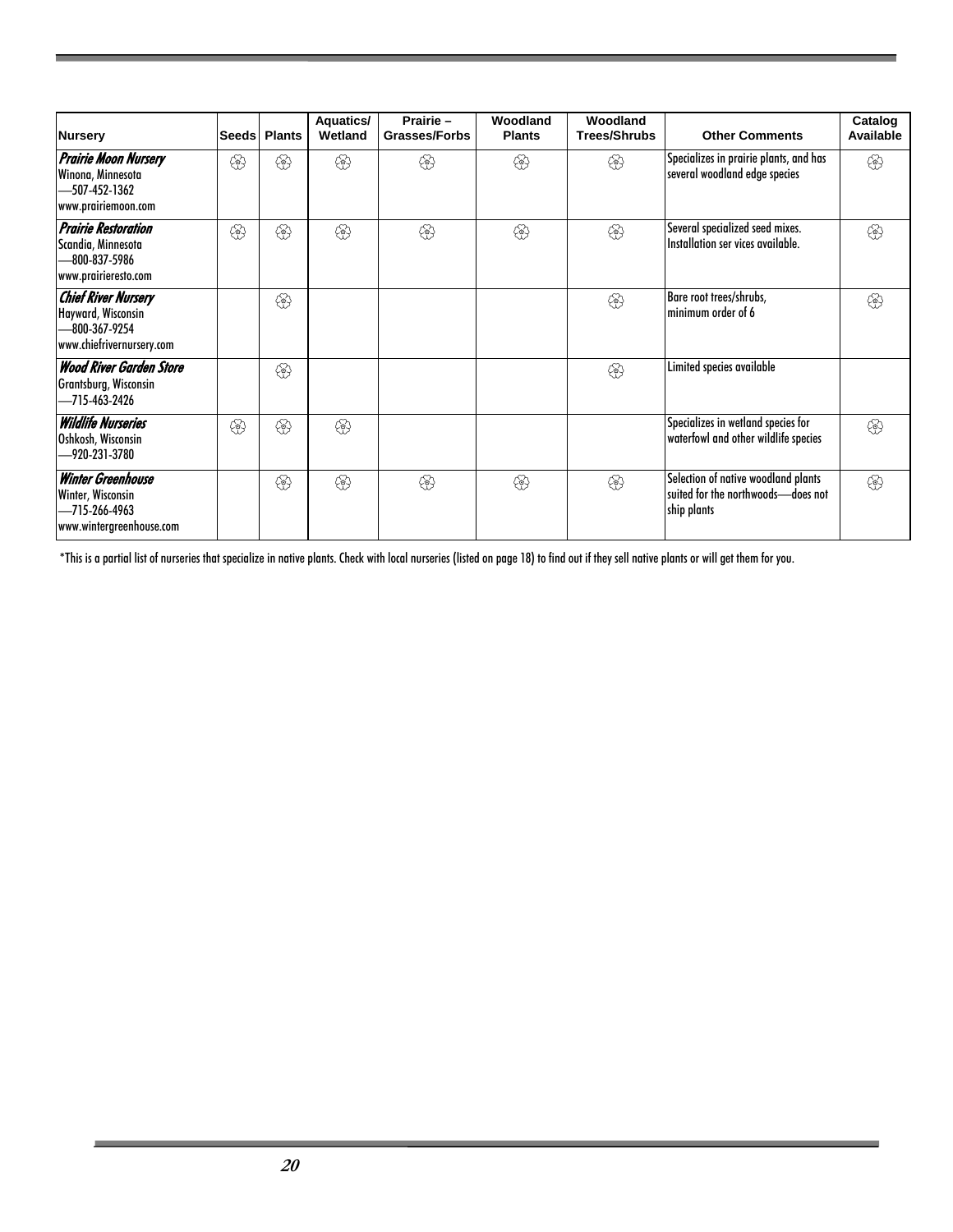| <b>Nursery</b>                                                                                 | <b>Seeds</b> | <b>Plants</b> | <b>Aquatics/</b><br>Wetland | Prairie-<br><b>Grasses/Forbs</b> | Woodland<br><b>Plants</b> | Woodland<br><b>Trees/Shrubs</b> | <b>Other Comments</b>                                                                    | Catalog<br>Available |
|------------------------------------------------------------------------------------------------|--------------|---------------|-----------------------------|----------------------------------|---------------------------|---------------------------------|------------------------------------------------------------------------------------------|----------------------|
| <b>Prairie Moon Nursery</b><br>Winona, Minnesota<br>-507-452-1362<br>www.prairiemoon.com       | ♧            | ♧             | ♧                           | ♧                                | ♧                         | ♧                               | Specializes in prairie plants, and has<br>several woodland edge species                  | €                    |
| <b>Prairie Restoration</b><br>Scandia, Minnesota<br>-800-837-5986<br>www.prairieresto.com      | ෯            | ෯             | දඹු                         | €                                | ♧                         | €                               | Several specialized seed mixes.<br>Installation ser vices available.                     | €                    |
| <b>Chief River Nursery</b><br>Hayward, Wisconsin<br>-800-367-9254<br>www.chiefrivernursery.com |              | ෯             |                             |                                  |                           | €                               | Bare root trees/shrubs,<br>minimum order of 6                                            | €                    |
| <b>Wood River Garden Store</b><br>Grantsburg, Wisconsin<br>-715-463-2426                       |              | ෯             |                             |                                  |                           | €}                              | Limited species available                                                                |                      |
| <b>Wildlife Nurseries</b><br>Oshkosh, Wisconsin<br>-920-231-3780                               | €            | ෯             | දඹු                         |                                  |                           |                                 | Specializes in wetland species for<br>waterfowl and other wildlife species               | €                    |
| <b>Winter Greenhouse</b><br>Winter, Wisconsin<br>-715-266-4963<br>www.wintergreenhouse.com     |              | ♧             | දඹු                         | ♧                                | ෯                         | €}                              | Selection of native woodland plants<br>suited for the northwoods-does not<br>ship plants | දඹු                  |

\*This is a partial list of nurseries that specialize in native plants. Check with local nurseries (listed on page 18) to find out if they sell native plants or will get them for you.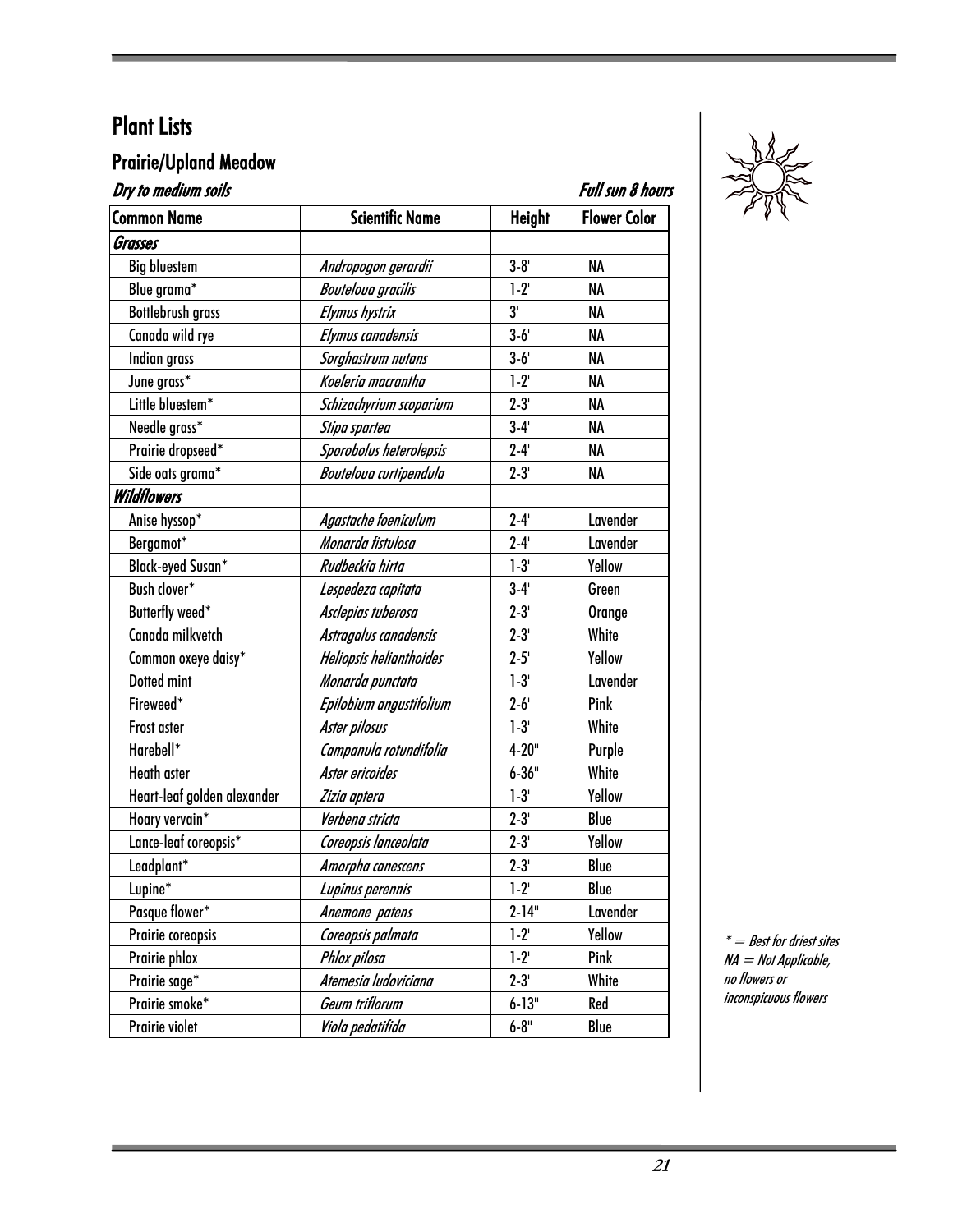#### Prairie/Upland Meadow

| Dry to medium soils<br>Full sun 8 hours |                           |                |                     |  |
|-----------------------------------------|---------------------------|----------------|---------------------|--|
| <b>Common Name</b>                      | <b>Scientific Name</b>    | <b>Height</b>  | <b>Flower Color</b> |  |
| Grasses                                 |                           |                |                     |  |
| <b>Big bluestem</b>                     | Andropogon gerardii       | $3 - 8'$       | NA                  |  |
| Blue grama*                             | <b>Bouteloua</b> gracilis | $1-2$          | NA                  |  |
| <b>Bottlebrush grass</b>                | Elymus hystrix            | 3 <sup>1</sup> | NA                  |  |
| Canada wild rye                         | Elymus canadensis         | $3-6'$         | NA                  |  |
| Indian grass                            | Sorghastrum nutans        | $3 - 6'$       | <b>NA</b>           |  |
| June grass*                             | Koeleria macrantha        | $1-2$          | NA                  |  |
| Little bluestem*                        | Schizachyrium scoparium   | $2 - 3'$       | NA                  |  |
| Needle grass*                           | Stipa spartea             | $3-4'$         | NA                  |  |
| Prairie dropseed*                       | Sporobolus heterolepsis   | $2 - 4'$       | NA                  |  |
| Side oats grama*                        | Bouteloua curtipendula    | $2 - 3'$       | NA                  |  |
| <b>Wildflowers</b>                      |                           |                |                     |  |
| Anise hyssop*                           | Agastache foeniculum      | $2 - 4'$       | Lavender            |  |
| Bergamot*                               | Monarda fistulosa         | $2 - 4'$       | Lavender            |  |
| <b>Black-eyed Susan*</b>                | Rudbeckia hirta           | $1-3'$         | Yellow              |  |
| Bush clover*                            | Lespedeza capitata        | $3-4'$         | Green               |  |
| Butterfly weed*                         | Asclepias tuberosa        | $2 - 3'$       | Orange              |  |
| Canada milkvetch                        | Astragalus canadensis     | $2 - 3'$       | White               |  |
| Common oxeye daisy*                     | Heliopsis helianthoides   | $2 - 5'$       | Yellow              |  |
| Dotted mint                             | Monarda punctata          | $1-3'$         | Lavender            |  |
| Fireweed*                               | Epilobium angustifolium   | $2 - 6'$       | Pink                |  |
| Frost aster                             | Aster pilosus             | $1-3'$         | White               |  |
| Harebell*                               | Campanula rotundifolia    | $4 - 20$ "     | Purple              |  |
| <b>Heath aster</b>                      | Aster ericoides           | $6 - 36$ "     | White               |  |
| Heart-leaf golden alexander             | Zizia aptera              | $1-3'$         | Yellow              |  |
| Hoary vervain*                          | Verbena stricta           | $2 - 3'$       | Blue                |  |
| Lance-leaf coreopsis*                   | Coreopsis lanceolata      | $2 - 3'$       | Yellow              |  |
| Leadplant*                              | Amorpha canescens         | $2 - 3'$       | Blue                |  |
| Lupine*                                 | Lupinus perennis          | $1-2'$         | Blue                |  |
| Pasque flower*                          | Anemone patens            | $2 - 14$ "     | Lavender            |  |
| Prairie coreopsis                       | Coreopsis palmata         | $1-2$          | Yellow              |  |
| Prairie phlox                           | Phlox pilosa              | $1 - 2'$       | Pink                |  |
| Prairie sage*                           | Atemesia ludoviciana      | $2 - 3'$       | White               |  |
| Prairie smoke*                          | Geum triflorum            | $6 - 13"$      | Red                 |  |
| Prairie violet                          | Viola pedatifida          | $6 - 8"$       | Blue                |  |



 $* =$  Best for driest sites NA = Not Applicable, no flowers or inconspicuous flowers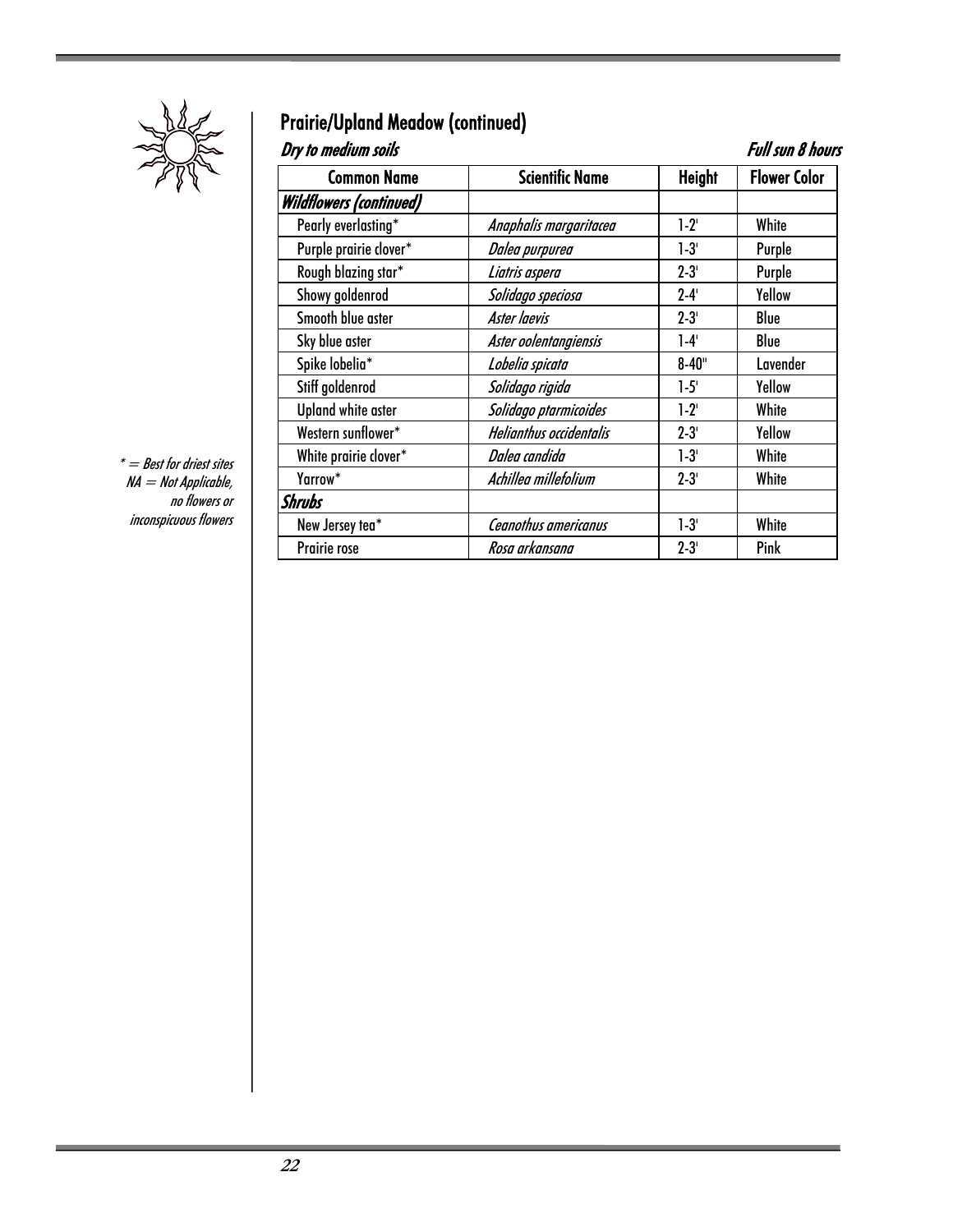

## Prairie/Upland Meadow (continued)

| Dry to medium soils            |                                |               | <b>Full sun 8 hours</b> |
|--------------------------------|--------------------------------|---------------|-------------------------|
| <b>Common Name</b>             | <b>Scientific Name</b>         | <b>Height</b> | <b>Flower Color</b>     |
| <b>Wildflowers (continued)</b> |                                |               |                         |
| Pearly everlasting*            | Anaphalis margaritacea         | $1-2^{1}$     | White                   |
| Purple prairie clover*         | Dalea purpurea                 | $1-3'$        | Purple                  |
| Rough blazing star*            | Liatris aspera                 | $2 - 3'$      | Purple                  |
| Showy goldenrod                | Solidago speciosa              | $2 - 4'$      | Yellow                  |
| Smooth blue aster              | Aster laevis                   | $2 - 3'$      | Blue                    |
| Sky blue aster                 | Aster oolentangiensis          | $1-4'$        | Blue                    |
| Spike lobelia*                 | Lobelia spicata                | $8 - 40$ "    | Lavender                |
| Stiff goldenrod                | Solidago rigida                | $1-5'$        | Yellow                  |
| <b>Upland white aster</b>      | Solidago ptarmicoides          | $1-2^{1}$     | White                   |
| Western sunflower*             | <b>Helianthus occidentalis</b> | $2 - 3'$      | Yellow                  |
| White prairie clover*          | Dalea candida                  | $1-3'$        | White                   |
| Yarrow*                        | Achillea millefolium           | $2 - 3'$      | White                   |
| Shrubs                         |                                |               |                         |
| New Jersey tea*                | Ceanothus americanus           | $1-3'$        | White                   |
| Prairie rose                   | Rosa arkansana                 | $2 - 3'$      | Pink                    |

 $^*$   $=$  Best for driest sites NA = Not Applicable, no flowers or inconspicuous flowers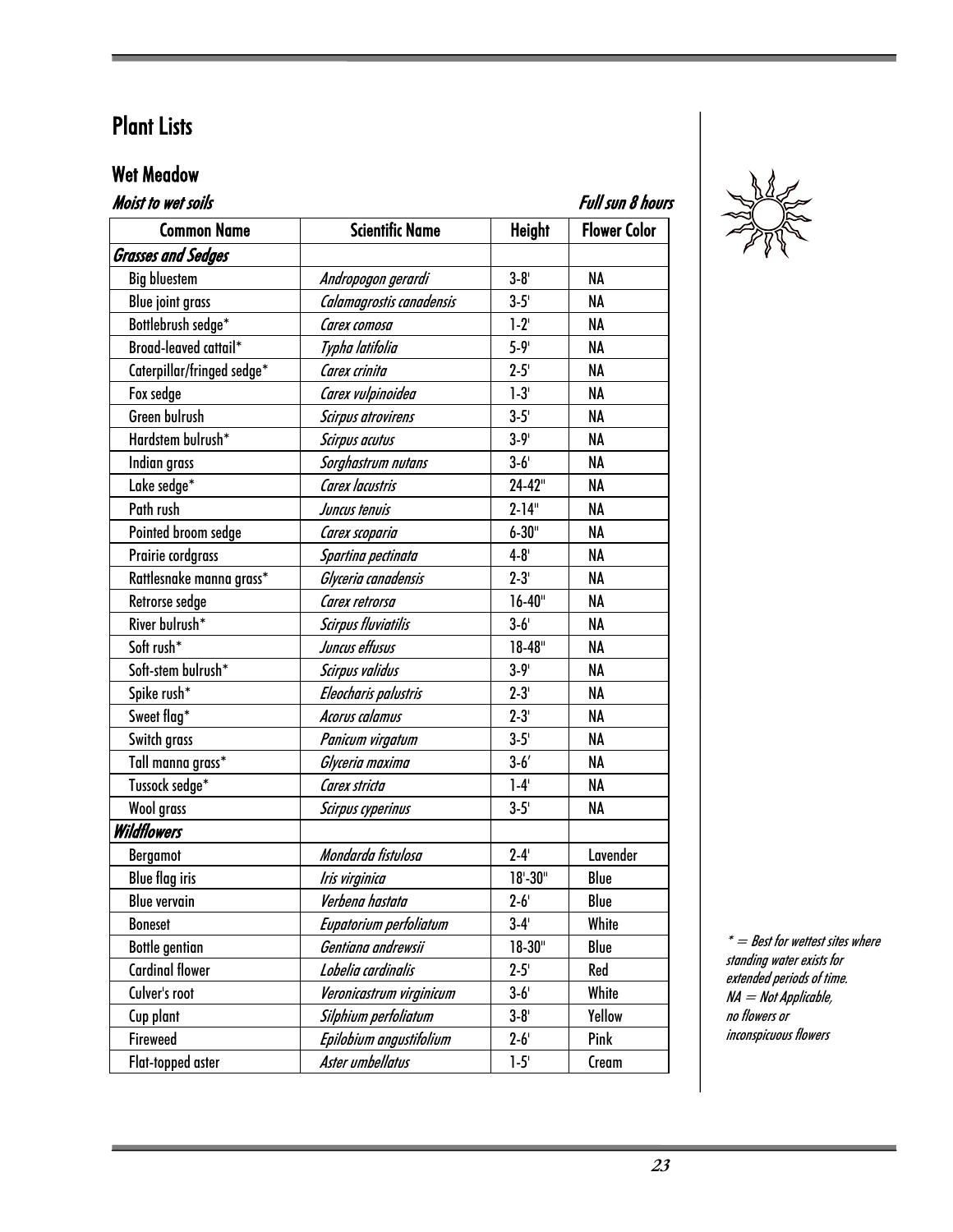#### Wet Meadow

| <b>Full sun 8 hours</b><br><b>Moist to wet soils</b> |                            |                           |                     |  |
|------------------------------------------------------|----------------------------|---------------------------|---------------------|--|
| <b>Common Name</b>                                   | <b>Scientific Name</b>     | <b>Height</b>             | <b>Flower Color</b> |  |
| <b>Grasses and Sedges</b>                            |                            |                           |                     |  |
| <b>Big bluestem</b>                                  | Andropogon gerardi         | $3 - 8'$                  | <b>NA</b>           |  |
| <b>Blue joint grass</b>                              | Calamagrostis canadensis   | $3 - 5'$                  | NA                  |  |
| Bottlebrush sedge*                                   | Carex comosa               | $1-2^{1}$                 | NA                  |  |
| Broad-leaved cattail*                                | Typha latifolia            | $5 - 9'$                  | <b>NA</b>           |  |
| Caterpillar/fringed sedge*                           | Carex crinita              | $2 - 5'$                  | NA                  |  |
| Fox sedge                                            | Carex vulpinoidea          | $1-3'$                    | <b>NA</b>           |  |
| Green bulrush                                        | <b>Scirpus atrovirens</b>  | $3-5'$                    | NA                  |  |
| Hardstem bulrush*                                    | <b>Scirpus acutus</b>      | $3 - 9'$                  | NA                  |  |
| Indian grass                                         | Sorghastrum nutans         | $3-6'$                    | <b>NA</b>           |  |
| Lake sedge*                                          | Carex lacustris            | 24-42"                    | NA                  |  |
| Path rush                                            | Juncus tenuis              | $2 - 14$ "                | NA                  |  |
| Pointed broom sedge                                  | Carex scoparia             | $6 - 30$ "                | NA                  |  |
| Prairie cordgrass                                    | Spartina pectinata         | $4 - 8'$                  | NA                  |  |
| Rattlesnake manna grass*                             | Glyceria canadensis        | $2 - 3'$                  | NA                  |  |
| Retrorse sedge                                       | Carex retrorsa             | $16 - 40$ "               | <b>NA</b>           |  |
| River bulrush*                                       | <b>Scirpus fluviatilis</b> | $3 - 6'$                  | NA                  |  |
| Soft rush*                                           | Juncus effusus             | $18-48"$                  | <b>NA</b>           |  |
| Soft-stem bulrush*                                   | Scirpus validus            | $3 - 9'$                  | NA                  |  |
| Spike rush*                                          | Eleocharis palustris       | $2 - 3'$                  | NA                  |  |
| Sweet flag*                                          | Acorus calamus             | $2 - 3'$                  | NA                  |  |
| Switch grass                                         | Panicum virgatum           | $3-5$ '                   | <b>NA</b>           |  |
| Tall manna grass*                                    | Glyceria maxima            | $3-6'$                    | NA                  |  |
| Tussock sedge*                                       | Carex stricta              | $1-4'$                    | <b>NA</b>           |  |
| <b>Wool grass</b>                                    | Scirpus cyperinus          | $3-5'$                    | NA                  |  |
| <b>Wildflowers</b>                                   |                            |                           |                     |  |
| Bergamot                                             | Mondarda fistulosa         | $2 - 4'$                  | Lavender            |  |
| <b>Blue flag iris</b>                                | Iris virginica             | $18^{\circ} - 30^{\circ}$ | Blue                |  |
| <b>Blue vervain</b>                                  | Verbena hastata            | $2 - 6'$                  | Blue                |  |
| <b>Boneset</b>                                       | Eupatorium perfoliatum     | $3-4'$                    | White               |  |
| <b>Bottle gentian</b>                                | Gentiana andrewsii         | $18 - 30"$                | Blue                |  |
| <b>Cardinal flower</b>                               | Lobelia cardinalis         | $2 - 5'$                  | Red                 |  |
| Culver's root                                        | Veronicastrum virginicum   | $3-6'$                    | White               |  |
| Cup plant                                            | Silphium perfoliatum       | $3-8'$                    | Yellow              |  |
| Fireweed                                             | Epilobium angustifolium    | $2 - 6'$                  | Pink                |  |
| Flat-topped aster                                    | Aster umbellatus           | $1-5'$                    | Cream               |  |

 $* =$  Best for wettest sites where standing water exists for extended periods of time. NA = Not Applicable, no flowers or inconspicuous flowers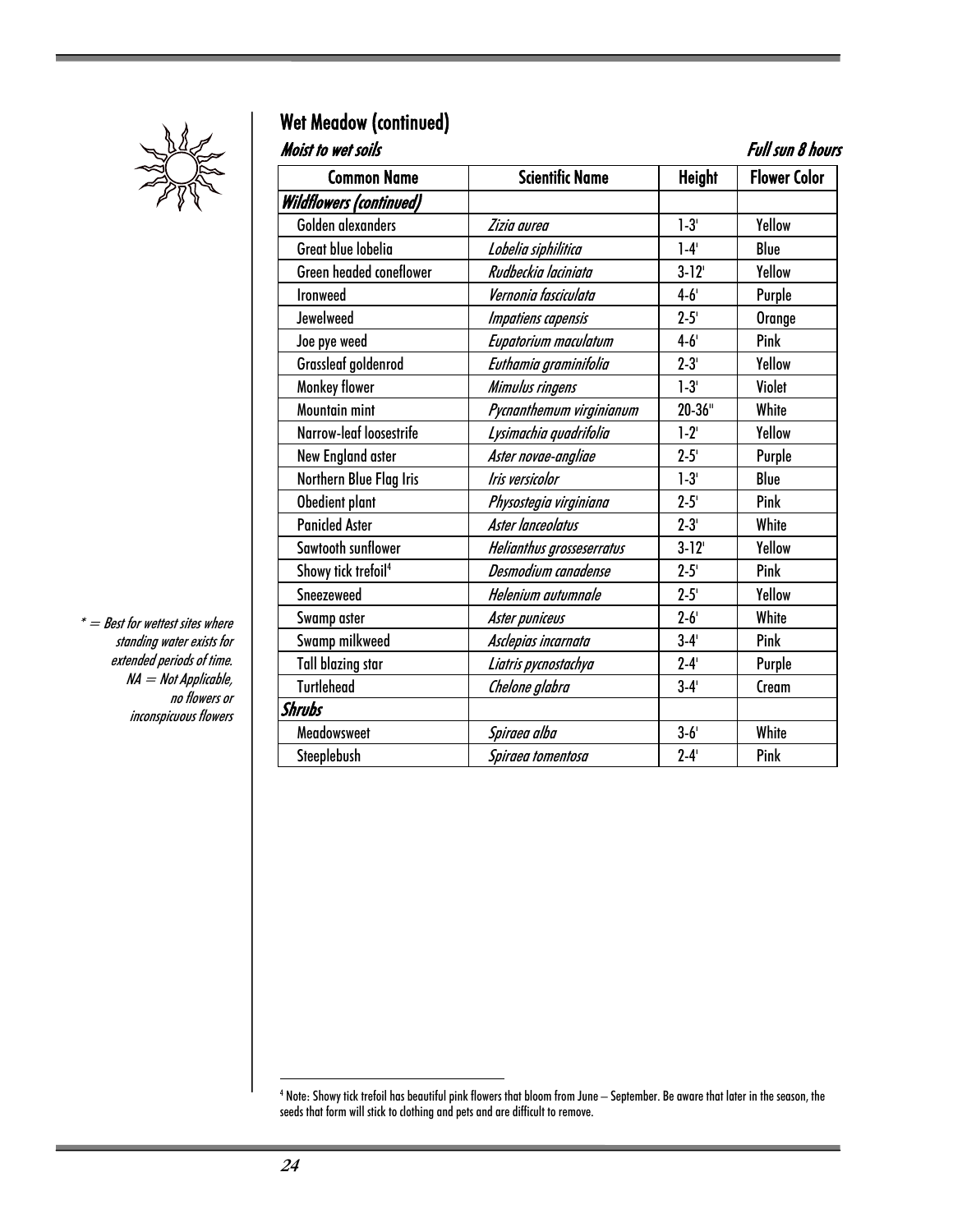

## Wet Meadow (continued)

Moist to wet soils **Full sun 8 hours** 

| <b>Common Name</b>              | <b>Scientific Name</b>    | <b>Height</b> | <b>Flower Color</b> |
|---------------------------------|---------------------------|---------------|---------------------|
| <b>Wildflowers (continued)</b>  |                           |               |                     |
| Golden alexanders               | Zizia aurea               | $1-3'$        | Yellow              |
| Great blue lobelia              | Lobelia siphilitica       | $1-4'$        | Blue                |
| Green headed coneflower         | Rudbeckia laciniata       | $3 - 12$      | Yellow              |
| <b>Ironweed</b>                 | Vernonia fasciculata      | $4 - 6'$      | Purple              |
| Jewelweed                       | Impatiens capensis        | $2 - 5'$      | Orange              |
| Joe pye weed                    | Eupatorium maculatum      | $4 - 6'$      | Pink                |
| Grassleaf goldenrod             | Euthamia graminifolia     | $2 - 3'$      | Yellow              |
| Monkey flower                   | Mimulus ringens           | $1 - 3'$      | Violet              |
| <b>Mountain mint</b>            | Pycnanthemum virginianum  | $20 - 36"$    | White               |
| Narrow-leaf loosestrife         | Lysimachia quadrifolia    | $1-2^{1}$     | Yellow              |
| New England aster               | Aster novae-angliae       | $2 - 5'$      | Purple              |
| Northern Blue Flag Iris         | Iris versicolor           | $1 - 3'$      | Blue                |
| Obedient plant                  | Physostegia virginiana    | $2 - 5'$      | Pink                |
| <b>Panicled Aster</b>           | Aster lanceolatus         | $2 - 3'$      | White               |
| Sawtooth sunflower              | Helianthus grosseserratus | $3 - 12$      | Yellow              |
| Showy tick trefoil <sup>4</sup> | Desmodium canadense       | $2 - 5'$      | Pink                |
| Sneezeweed                      | Helenium autumnale        | $2 - 5'$      | Yellow              |
| Swamp aster                     | Aster puniceus            | $2 - 6'$      | White               |
| Swamp milkweed                  | Asclepias incarnata       | $3-4'$        | Pink                |
| <b>Tall blazing star</b>        | Liatris pycnostachya      | $2 - 4'$      | Purple              |
| <b>Turtlehead</b>               | Chelone glabra            | $3 - 4'$      | Cream               |
| <b>Shrubs</b>                   |                           |               |                     |
| Meadowsweet                     | Spiraea alba              | $3 - 6'$      | White               |
| Steeplebush                     | Spiraea tomentosa         | $2 - 4'$      | Pink                |

 $* =$  Best for wettest sites where standing water exists for extended periods of time. NA = Not Applicable, no flowers or inconspicuous flowers

 4 Note: Showy tick trefoil has beautiful pink flowers that bloom from June – September. Be aware that later in the season, the seeds that form will stick to clothing and pets and are difficult to remove.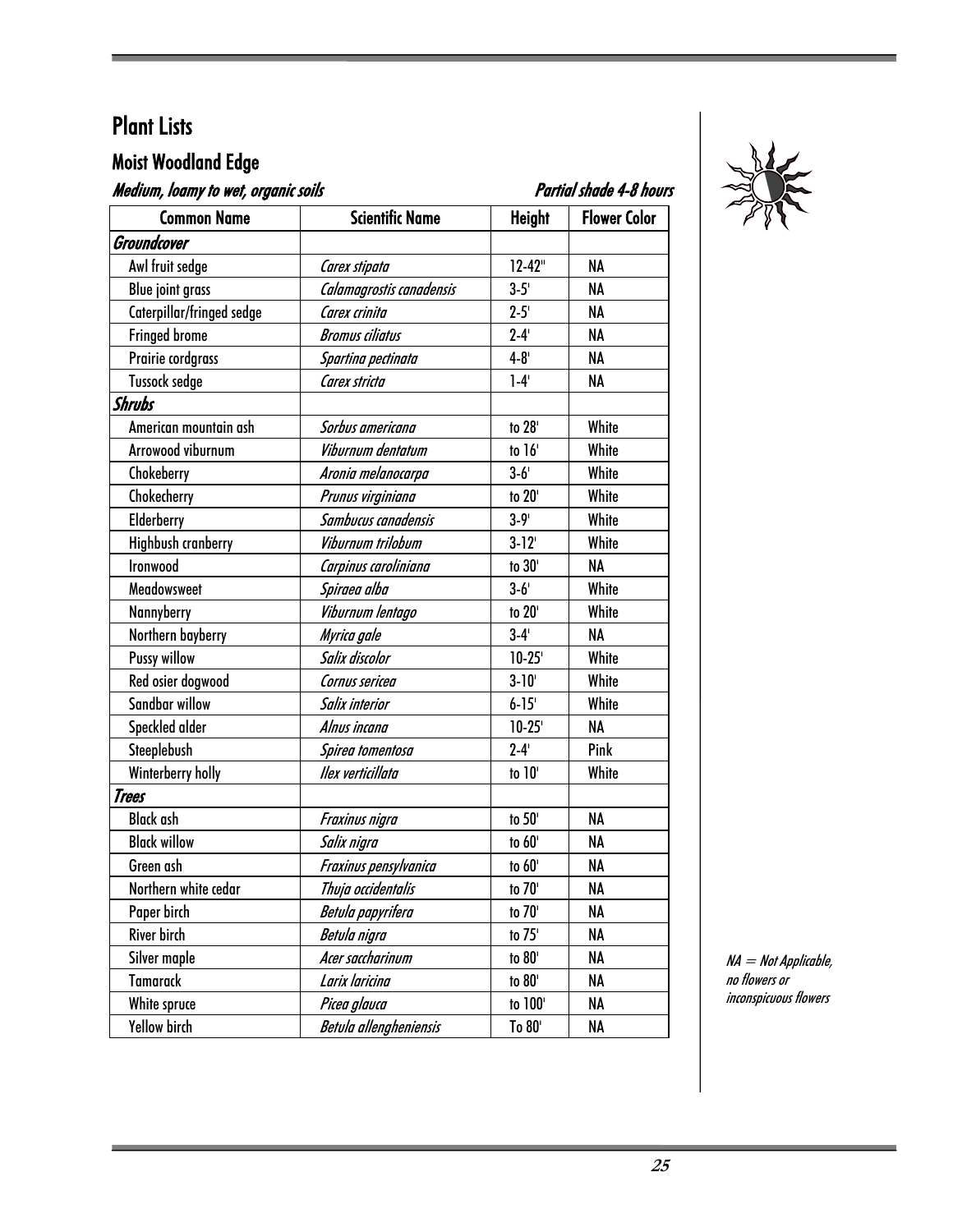#### Moist Woodland Edge

| Medium, loamy to wet, organic soils |                          | Partial shade 4-8 hours |                     |
|-------------------------------------|--------------------------|-------------------------|---------------------|
| <b>Common Name</b>                  | <b>Scientific Name</b>   | <b>Height</b>           | <b>Flower Color</b> |
| Groundcover                         |                          |                         |                     |
| Awl fruit sedge                     | Carex stipata            | $12 - 42"$              | NA                  |
| <b>Blue joint grass</b>             | Calamagrostis canadensis | $3 - 5'$                | NA                  |
| Caterpillar/fringed sedge           | Carex crinita            | $2 - 5'$                | NA                  |
| <b>Fringed brome</b>                | <b>Bromus ciliatus</b>   | $2 - 4'$                | NA                  |
| Prairie cordgrass                   | Spartina pectinata       | $4 - 8'$                | <b>NA</b>           |
| <b>Tussock sedge</b>                | Carex stricta            | $1-4'$                  | NA                  |
| Shrubs                              |                          |                         |                     |
| American mountain ash               | Sorbus americana         | to 28'                  | White               |
| Arrowood viburnum                   | Viburnum dentatum        | to 16'                  | White               |
| Chokeberry                          | Aronia melanocarpa       | $3 - 6'$                | White               |
| Chokecherry                         | Prunus virginiana        | to 20'                  | White               |
| Elderberry                          | Sambucus canadensis      | $3 - 9'$                | White               |
| <b>Highbush cranberry</b>           | Viburnum trilobum        | $3 - 12$                | White               |
| Ironwood                            | Carpinus caroliniana     | to 30'                  | NA                  |
| Meadowsweet                         | Spiraea alba             | $3-6'$                  | White               |
| Nannyberry                          | Viburnum lentago         | to 20'                  | White               |
| Northern bayberry                   | Myrica gale              | $3-4'$                  | NA                  |
| <b>Pussy willow</b>                 | Salix discolor           | $10 - 25$               | White               |
| Red osier dogwood                   | Cornus sericea           | $3 - 10'$               | White               |
| Sandbar willow                      | Salix interior           | $6 - 15$                | White               |
| Speckled alder                      | Alnus incana             | $10 - 25$               | NA                  |
| Steeplebush                         | Spirea tomentosa         | $2 - 4'$                | Pink                |
| Winterberry holly                   | Ilex verticillata        | to 10'                  | White               |
| Trees                               |                          |                         |                     |
| <b>Black ash</b>                    | Fraxinus nigra           | to 50'                  | NA                  |
| <b>Black willow</b>                 | Salix nigra              | to 60'                  | <b>NA</b>           |
| Green ash                           | Fraxinus pensylvanica    | to 60'                  | NA                  |
| Northern white cedar                | Thuja occidentalis       | to 70'                  | NA                  |
| Paper birch                         | Betula papyrifera        | to 70'                  | NA                  |
| River birch                         | Betula nigra             | to 75'                  | NA                  |
| Silver maple                        | Acer saccharinum         | to 80'                  | NA                  |
| <b>Tamarack</b>                     | Larix laricina           | to 80'                  | NA                  |
| White spruce                        | Picea glauca             | to 100'                 | NA                  |
| Yellow birch                        | Betula allengheniensis   | To 80'                  | NA                  |



NA = Not Applicable, no flowers or inconspicuous flowers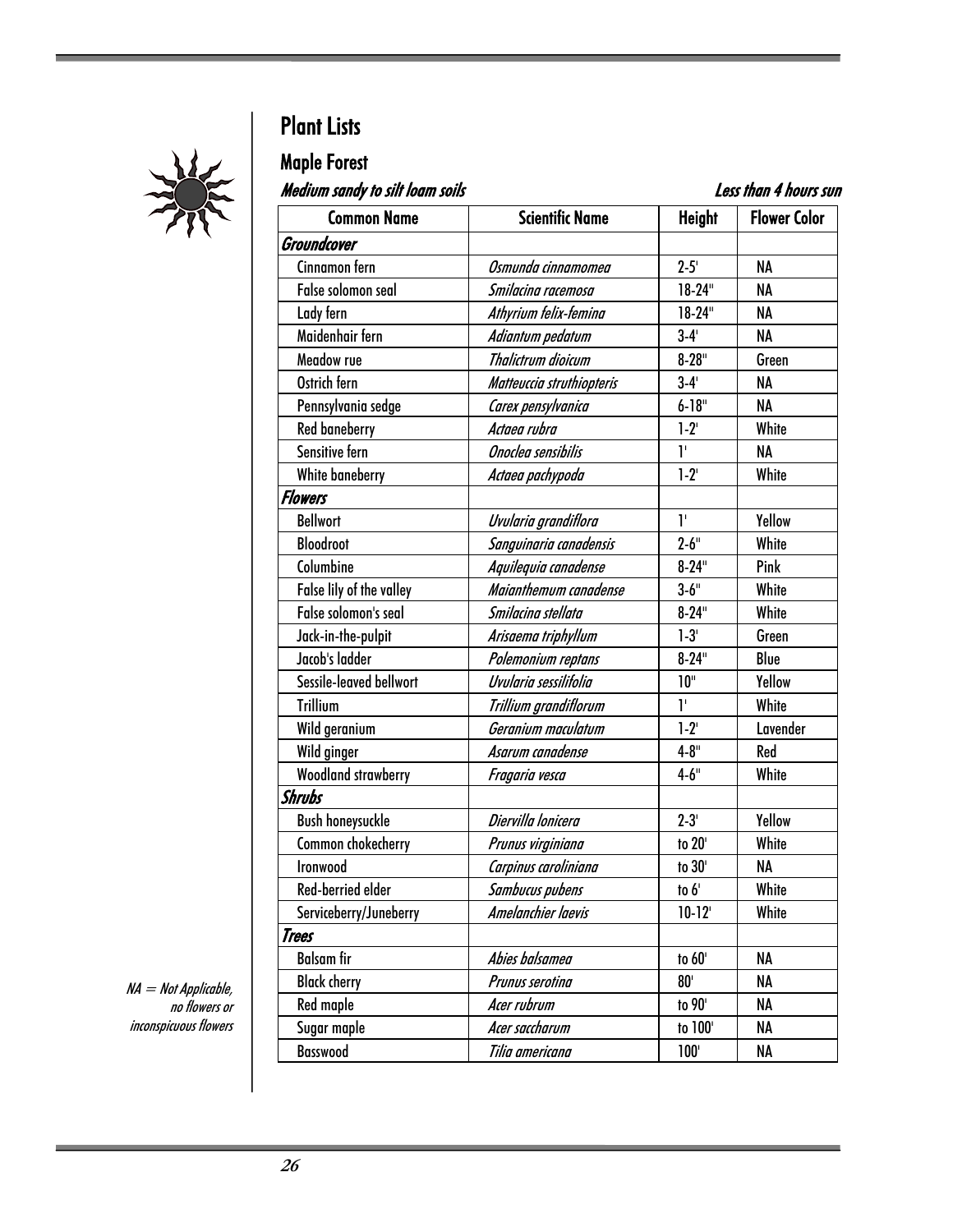

## Maple Forest

.<br>Medium sandy to silt loam soils Less than 4 hours sun

| נווטנ וווטטו וווכ טו yneulull אונטוו<br>ווער כושטוו <del>ץ</del> וועווו נכ <i>ס</i> |                           |                |                     |  |  |  |
|-------------------------------------------------------------------------------------|---------------------------|----------------|---------------------|--|--|--|
| <b>Common Name</b>                                                                  | <b>Scientific Name</b>    | <b>Height</b>  | <b>Flower Color</b> |  |  |  |
| Groundcover                                                                         |                           |                |                     |  |  |  |
| Cinnamon fern                                                                       | Osmunda cinnamomea        | $2 - 5'$       | NA                  |  |  |  |
| False solomon seal                                                                  | Smilacina racemosa        | $18-24"$       | <b>NA</b>           |  |  |  |
| Lady fern                                                                           | Athyrium felix-femina     | $18-24"$       | NA                  |  |  |  |
| Maidenhair fern                                                                     | Adiantum pedatum          | $3-4'$         | <b>NA</b>           |  |  |  |
| Meadow rue                                                                          | Thalictrum dioicum        | $8 - 28$ "     | Green               |  |  |  |
| Ostrich fern                                                                        | Matteuccia struthiopteris | $3-4'$         | <b>NA</b>           |  |  |  |
| Pennsylvania sedge                                                                  | Carex pensylvanica        | $6 - 18"$      | <b>NA</b>           |  |  |  |
| <b>Red baneberry</b>                                                                | Actaea rubra              | $1-2^{1}$      | White               |  |  |  |
| Sensitive fern                                                                      | Onoclea sensibilis        | 1 <sup>1</sup> | <b>NA</b>           |  |  |  |
| White baneberry                                                                     | Actaea pachypoda          | $1 - 2^{1}$    | White               |  |  |  |
| <b>Flowers</b>                                                                      |                           |                |                     |  |  |  |
| <b>Bellwort</b>                                                                     | Uvularia grandiflora      | T.             | Yellow              |  |  |  |
| <b>Bloodroot</b>                                                                    | Sanguinaria canadensis    | $2 - 6$ "      | White               |  |  |  |
| Columbine                                                                           | Aquilequia canadense      | $8 - 24$ "     | Pink                |  |  |  |
| False lily of the valley                                                            | Maianthemum canadense     | $3 - 6$ "      | White               |  |  |  |
| False solomon's seal                                                                | Smilacina stellata        | $8 - 24$ "     | White               |  |  |  |
| Jack-in-the-pulpit                                                                  | Arisaema triphyllum       | $1-3'$         | Green               |  |  |  |
| Jacob's ladder                                                                      | Polemonium reptans        | $8 - 24$ "     | Blue                |  |  |  |
| Sessile-leaved bellwort                                                             | Uvularia sessilifolia     | 10"            | Yellow              |  |  |  |
| <b>Trillium</b>                                                                     | Trillium grandiflorum     | T,             | White               |  |  |  |
| Wild geranium                                                                       | Geranium maculatum        | $1-2^{1}$      | Lavender            |  |  |  |
| Wild ginger                                                                         | Asarum canadense          | $4 - 8$ "      | Red                 |  |  |  |
| <b>Woodland strawberry</b>                                                          | Fragaria vesca            | $4 - 6$ "      | White               |  |  |  |
| <b>Shrubs</b>                                                                       |                           |                |                     |  |  |  |
| <b>Bush honeysuckle</b>                                                             | Diervilla lonicera        | $2 - 3'$       | Yellow              |  |  |  |
| Common chokecherry                                                                  | Prunus virginiana         | to 20'         | White               |  |  |  |
| Ironwood                                                                            | Carpinus caroliniana      | to 30'         | NA                  |  |  |  |
| Red-berried elder                                                                   | Sambucus pubens           | to $6'$        | White               |  |  |  |
| Serviceberry/Juneberry                                                              | Amelanchier laevis        | $10-12$        | White               |  |  |  |
| Trees                                                                               |                           |                |                     |  |  |  |
| <b>Balsam fir</b>                                                                   | Abies balsamea            | to 60'         | NA                  |  |  |  |
| <b>Black cherry</b>                                                                 | Prunus serotina           | $80^{\circ}$   | NA                  |  |  |  |
| Red maple                                                                           | Acer rubrum               | to 90'         | NA                  |  |  |  |
| Sugar maple                                                                         | Acer saccharum            | to 100'        | NA                  |  |  |  |
| <b>Basswood</b>                                                                     | Tilia americana           | $100^{\circ}$  | NA                  |  |  |  |

NA = Not Applicable, no flowers or inconspicuous flowers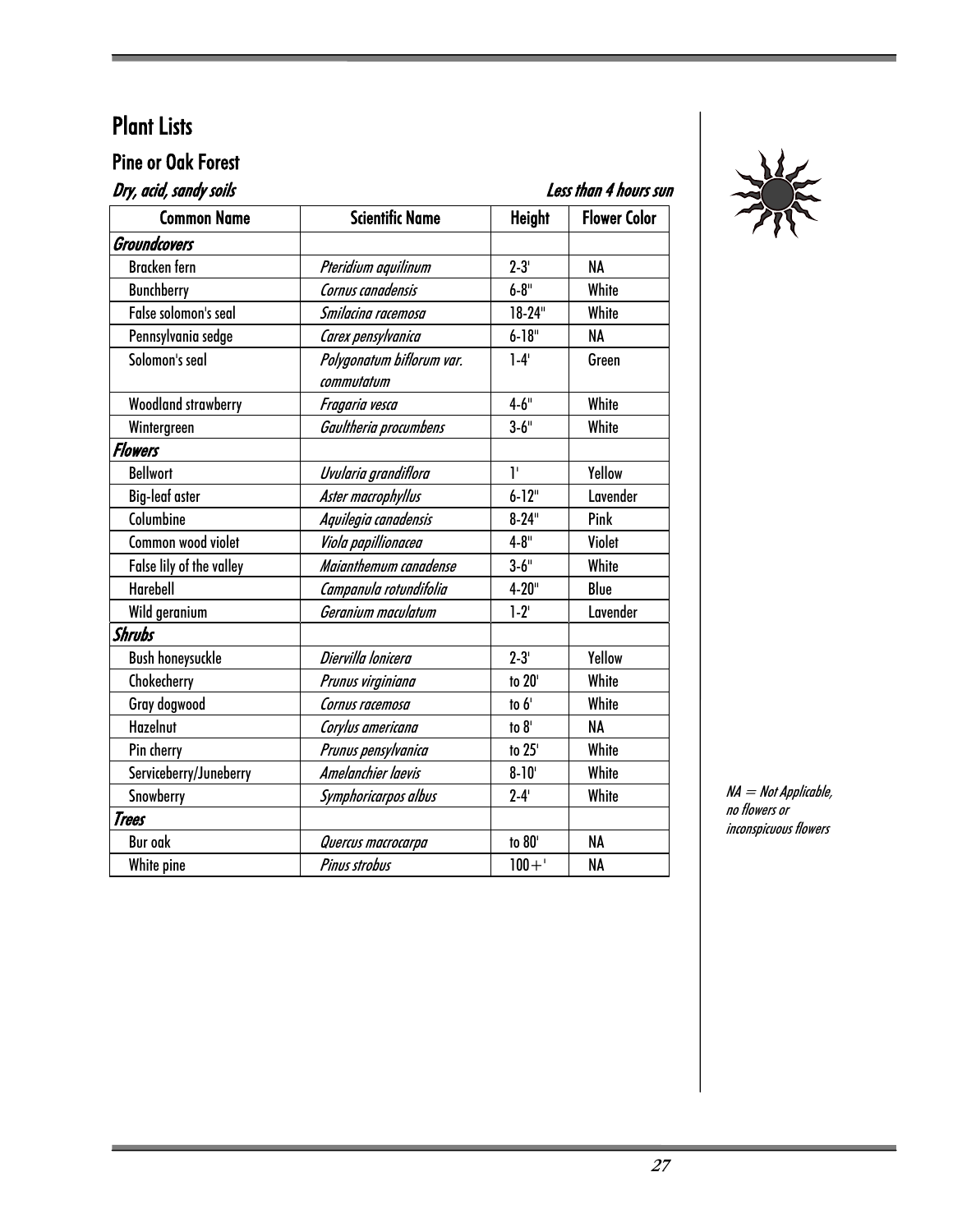## Pine or Oak Forest<br>*Pry seid candy soils*

| Dry, acid, sandy soils     | Less than 4 hours sun                   |               |                     |
|----------------------------|-----------------------------------------|---------------|---------------------|
| <b>Common Name</b>         | <b>Scientific Name</b>                  | <b>Height</b> | <b>Flower Color</b> |
| Groundcovers               |                                         |               |                     |
| Bracken fern               | Pteridium aquilinum                     | $2 - 3'$      | <b>NA</b>           |
| <b>Bunchberry</b>          | Cornus canadensis                       | $6 - 8$ "     | White               |
| False solomon's seal       | Smilacina racemosa                      | $18-24"$      | White               |
| Pennsylvania sedge         | Carex pensylvanica                      | $6 - 18$ "    | <b>NA</b>           |
| Solomon's seal             | Polygonatum biflorum var.<br>commutatum | $1-4'$        | Green               |
| <b>Woodland strawberry</b> | Fragaria vesca                          | $4 - 6$ "     | White               |
| Wintergreen                | Gaultheria procumbens                   | $3 - 6$ "     | White               |
| <b>Flowers</b>             |                                         |               |                     |
| <b>Bellwort</b>            | Uvularia grandiflora                    | ľ             | Yellow              |
| <b>Big-leaf aster</b>      | Aster macrophyllus                      | $6 - 12$ "    | Lavender            |
| Columbine                  | Aquilegia canadensis                    | $8 - 24$ "    | Pink                |
| Common wood violet         | Viola papillionacea                     | $4 - 8$ "     | Violet              |
| False lily of the valley   | Maianthemum canadense                   | $3 - 6$ "     | White               |
| Harebell                   | Campanula rotundifolia                  | $4 - 20$ "    | Blue                |
| Wild geranium              | Geranium maculatum                      | $1-2^{1}$     | Lavender            |
| <b>Shrubs</b>              |                                         |               |                     |
| <b>Bush honeysuckle</b>    | Diervilla lonicera                      | $2 - 3'$      | Yellow              |
| Chokecherry                | Prunus virginiana                       | to 20'        | White               |
| Gray dogwood               | Cornus racemosa                         | to 6'         | White               |
| Hazelnut                   | Corylus americana                       | to $81$       | <b>NA</b>           |
| Pin cherry                 | Prunus pensylvanica                     | to 25'        | White               |
| Serviceberry/Juneberry     | Amelanchier laevis                      | $8 - 10'$     | White               |
| Snowberry                  | Symphoricarpos albus                    | $2 - 4'$      | White               |
| Trees                      |                                         |               |                     |
| <b>Bur oak</b>             | Quercus macrocarpa                      | to 80'        | <b>NA</b>           |
| White pine                 | <b>Pinus strobus</b>                    | $100 + '$     | NA                  |
|                            |                                         |               |                     |



NA = Not Applicable, no flowers or inconspicuous flowers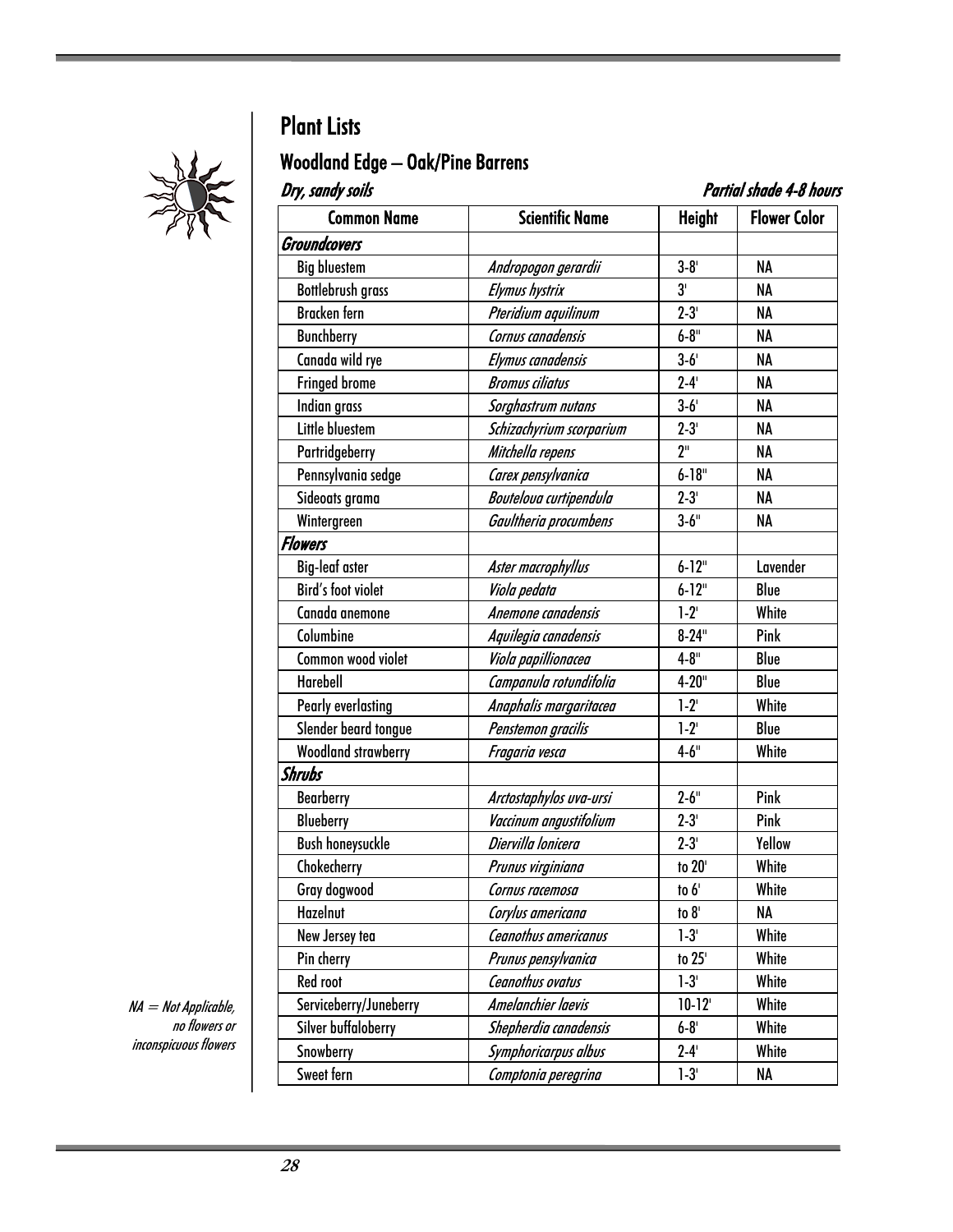

## Woodland Edge – Oak/Pine Barrens

| Dry, sandy soils<br>Partial shade 4-8 hours |                          |                 |                     |  |
|---------------------------------------------|--------------------------|-----------------|---------------------|--|
| <b>Common Name</b>                          | <b>Scientific Name</b>   | <b>Height</b>   | <b>Flower Color</b> |  |
| <b>Groundcovers</b>                         |                          |                 |                     |  |
| <b>Big bluestem</b>                         | Andropogon gerardii      | $3 - 8'$        | <b>NA</b>           |  |
| <b>Bottlebrush grass</b>                    | <b>Elymus hystrix</b>    | 3'              | <b>NA</b>           |  |
| <b>Bracken</b> fern                         | Pteridium aquilinum      | $2 - 3'$        | NA                  |  |
| <b>Bunchberry</b>                           | Cornus canadensis        | $6 - 8$ "       | NA                  |  |
| Canada wild rye                             | Elymus canadensis        | $3-6'$          | NA                  |  |
| <b>Fringed brome</b>                        | <b>Bromus ciliatus</b>   | $2 - 4'$        | NA                  |  |
| Indian grass                                | Sorghastrum nutans       | $3-6'$          | NA                  |  |
| Little bluestem                             | Schizachyrium scorparium | $2 - 3'$        | NA                  |  |
| Partridgeberry                              | Mitchella repens         | 2 <sup>11</sup> | <b>NA</b>           |  |
| Pennsylvania sedge                          | Carex pensylvanica       | $6 - 18"$       | NA                  |  |
| Sideoats grama                              | Bouteloua curtipendula   | $2 - 3'$        | <b>NA</b>           |  |
| Wintergreen                                 | Gaultheria procumbens    | $3 - 6$ "       | NA                  |  |
| <b>Flowers</b>                              |                          |                 |                     |  |
| <b>Big-leaf aster</b>                       | Aster macrophyllus       | $6 - 12$ "      | Lavender            |  |
| <b>Bird's foot violet</b>                   | Viola pedata             | $6 - 12$ "      | Blue                |  |
| Canada anemone                              | Anemone canadensis       | $1-2$           | White               |  |
| Columbine                                   | Aquilegia canadensis     | $8 - 24$ "      | Pink                |  |
| Common wood violet                          | Viola papillionacea      | $4 - 8$ "       | Blue                |  |
| Harebell                                    | Campanula rotundifolia   | $4 - 20$ "      | Blue                |  |
| <b>Pearly everlasting</b>                   | Anaphalis margaritacea   | $1 - 2^{1}$     | White               |  |
| Slender beard tongue                        | Penstemon gracilis       | $1-2$           | Blue                |  |
| <b>Woodland strawberry</b>                  | Fragaria vesca           | $4 - 6"$        | White               |  |
| Shrubs                                      |                          |                 |                     |  |
| <b>Bearberry</b>                            | Arctostaphylos uva-ursi  | $2 - 6$ "       | Pink                |  |
| <b>Blueberry</b>                            | Vaccinum angustifolium   | $2 - 3'$        | Pink                |  |
| <b>Bush honeysuckle</b>                     | Diervilla lonicera       | $2 - 3'$        | Yellow              |  |
| Chokecherry                                 | Prunus virginiana        | to 20'          | White               |  |
| Gray dogwood                                | Cornus racemosa          | to $6^{\prime}$ | White               |  |
| Hazelnut                                    | Corylus americana        | to $81$         | NA                  |  |
| New Jersey tea                              | Ceanothus americanus     | $1 - 3'$        | White               |  |
| Pin cherry                                  | Prunus pensylvanica      | to 25'          | White               |  |
| Red root                                    | Ceanothus ovatus         | $1-3'$          | White               |  |
| Serviceberry/Juneberry                      | Amelanchier laevis       | $10-12$         | White               |  |
| Silver buffaloberry                         | Shepherdia canadensis    | $6 - 8'$        | White               |  |
| Snowberry                                   | Symphoricarpus albus     | $2 - 4'$        | White               |  |
| Sweet fern                                  | Comptonia peregrina      | $1-3'$          | NA                  |  |

NA = Not Applicable, no flowers or inconspicuous flowers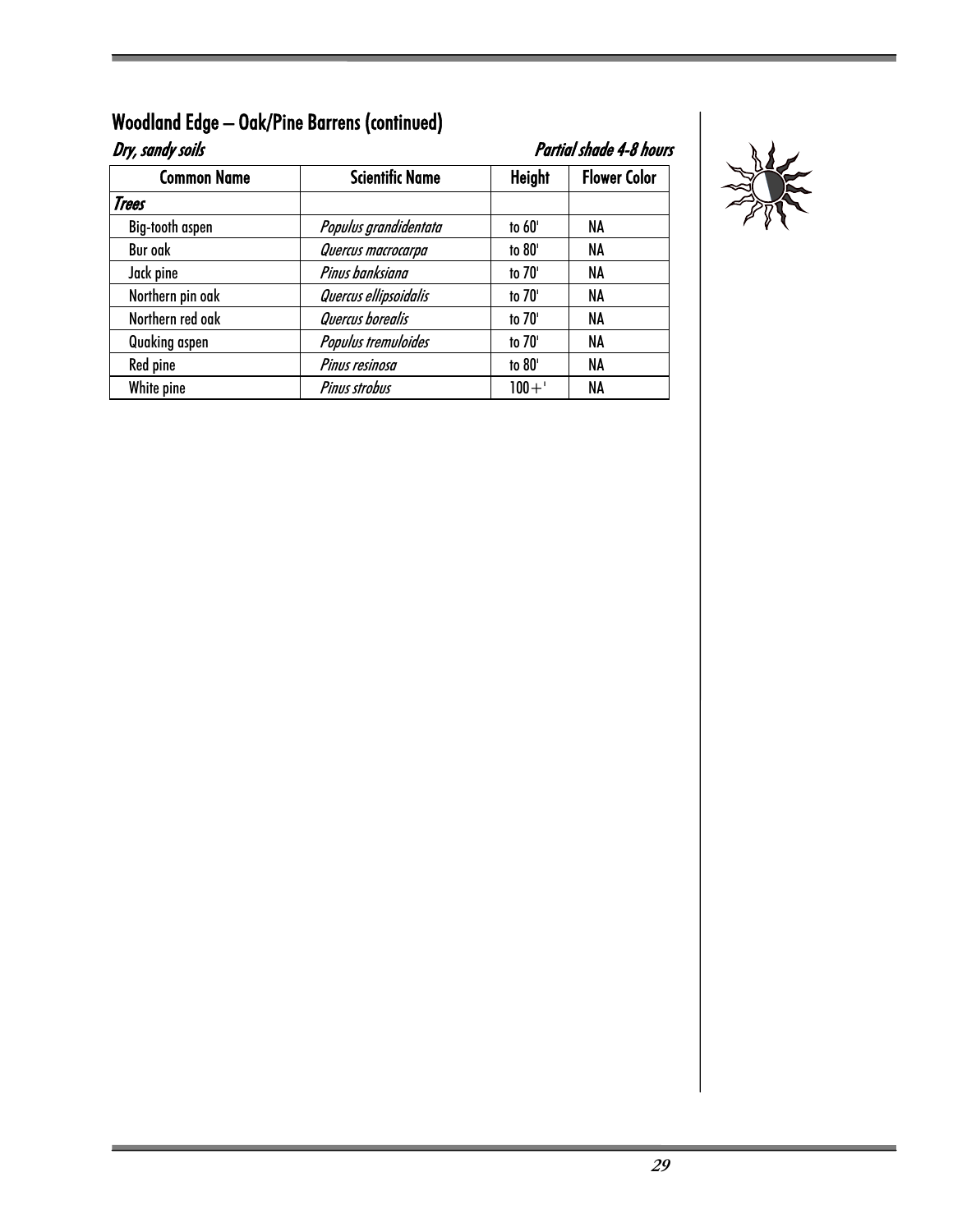| Dry, sandy soils   | Partial shade 4-8 hours |               |                     |
|--------------------|-------------------------|---------------|---------------------|
| <b>Common Name</b> | <b>Scientific Name</b>  | <b>Height</b> | <b>Flower Color</b> |
| Trees              |                         |               |                     |
| Big-tooth aspen    | Populus grandidentata   | to 60'        | NA                  |
| <b>Bur oak</b>     | Quercus macrocarpa      | to 80'        | NA                  |
| Jack pine          | Pinus banksiana         | to 70'        | NA                  |
| Northern pin oak   | Quercus ellipsoidalis   | to 70'        | NA                  |
| Northern red oak   | Quercus borealis        | to 70'        | NA                  |
| Quaking aspen      | Populus tremuloides     | to 70'        | <b>NA</b>           |
| Red pine           | Pinus resinosa          | to 80'        | NA                  |
| White pine         | <b>Pinus strobus</b>    | $100 + '$     | NA                  |

## Woodland Edge – Oak/Pine Barrens (continued)

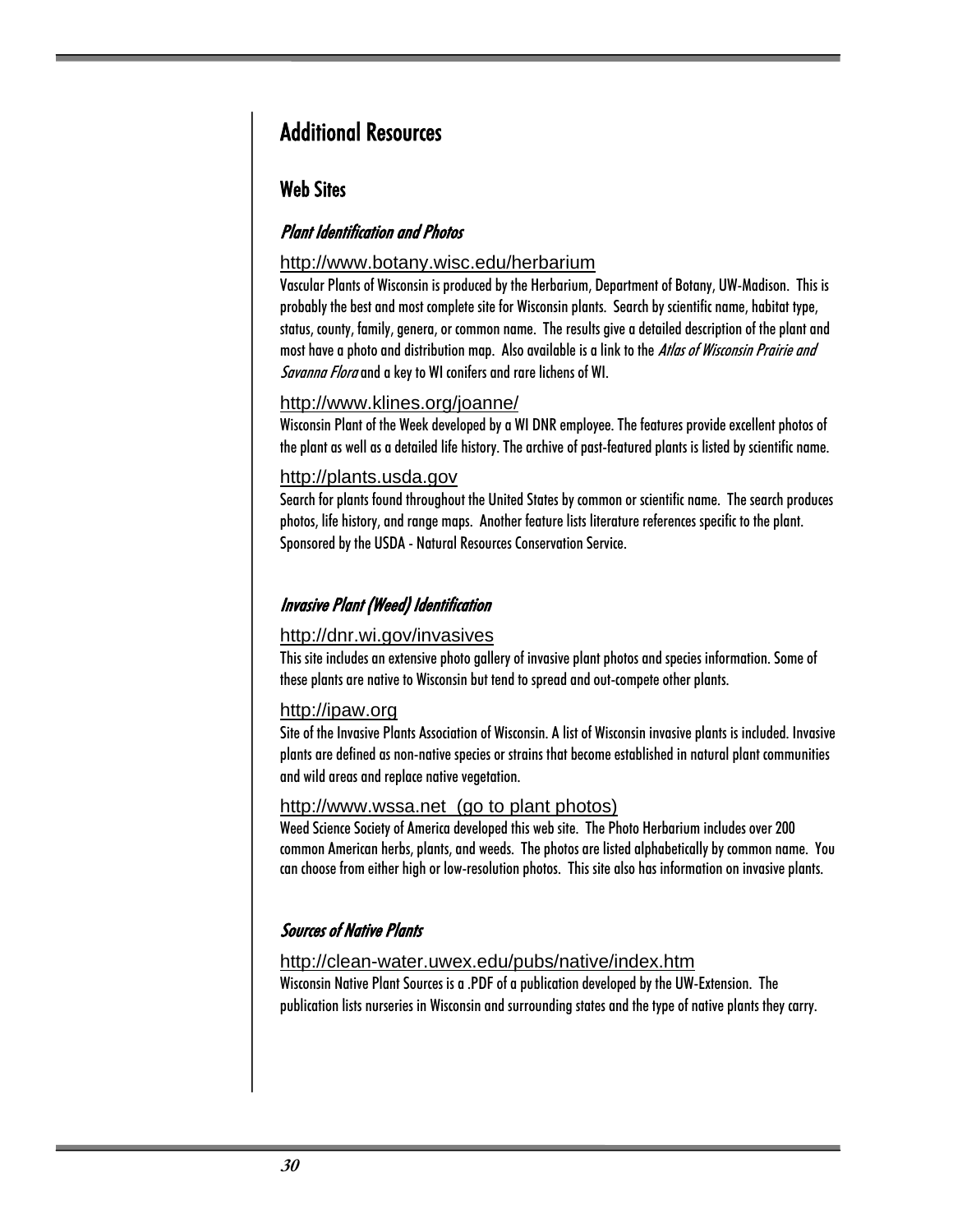## Additional Resources

#### Web Sites

#### Plant Identification and Photos

#### http://www.botany.wisc.edu/herbarium

Vascular Plants of Wisconsin is produced by the Herbarium, Department of Botany, UW-Madison. This is probably the best and most complete site for Wisconsin plants. Search by scientific name, habitat type, status, county, family, genera, or common name. The results give a detailed description of the plant and most have a photo and distribution map. Also available is a link to the Atlas of Wisconsin Prairie and Savanna Flora and a key to WI conifers and rare lichens of WI.

#### http://www.klines.org/joanne/

Wisconsin Plant of the Week developed by a WI DNR employee. The features provide excellent photos of the plant as well as a detailed life history. The archive of past-featured plants is listed by scientific name.

#### http://plants.usda.gov

Search for plants found throughout the United States by common or scientific name. The search produces photos, life history, and range maps. Another feature lists literature references specific to the plant. Sponsored by the USDA - Natural Resources Conservation Service.

#### Invasive Plant (Weed) Identification

#### http://dnr.wi.gov/invasives

This site includes an extensive photo gallery of invasive plant photos and species information. Some of these plants are native to Wisconsin but tend to spread and out-compete other plants.

#### http://ipaw.org

Site of the Invasive Plants Association of Wisconsin. A list of Wisconsin invasive plants is included. Invasive plants are defined as non-native species or strains that become established in natural plant communities and wild areas and replace native vegetation.

#### http://www.wssa.net (go to plant photos)

Weed Science Society of America developed this web site. The Photo Herbarium includes over 200 common American herbs, plants, and weeds. The photos are listed alphabetically by common name. You can choose from either high or low-resolution photos. This site also has information on invasive plants.

#### Sources of Native Plants

#### http://clean-water.uwex.edu/pubs/native/index.htm

Wisconsin Native Plant Sources is a .PDF of a publication developed by the UW-Extension. The publication lists nurseries in Wisconsin and surrounding states and the type of native plants they carry.